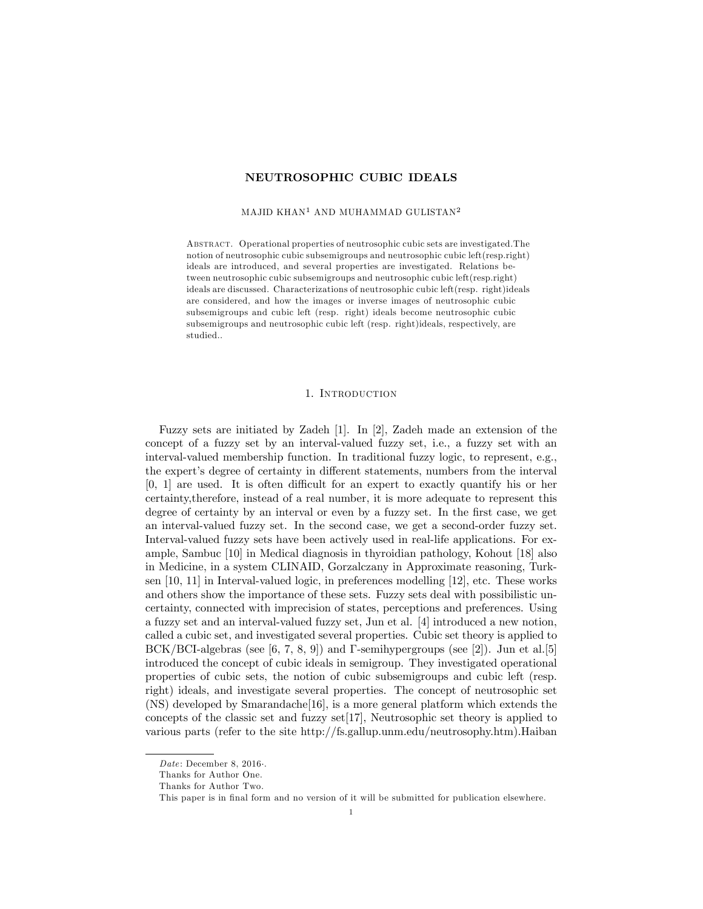# NEUTROSOPHIC CUBIC IDEALS

# MAJID KHAN<sup>1</sup> AND MUHAMMAD GULISTAN<sup>2</sup>

Abstract. Operational properties of neutrosophic cubic sets are investigated.The notion of neutrosophic cubic subsemigroups and neutrosophic cubic left(resp.right) ideals are introduced, and several properties are investigated. Relations between neutrosophic cubic subsemigroups and neutrosophic cubic left(resp.right) ideals are discussed. Characterizations of neutrosophic cubic left(resp. right)ideals are considered, and how the images or inverse images of neutrosophic cubic subsemigroups and cubic left (resp. right) ideals become neutrosophic cubic subsemigroups and neutrosophic cubic left (resp. right)ideals, respectively, are studied..

## 1. Introduction

Fuzzy sets are initiated by Zadeh [1]. In [2], Zadeh made an extension of the concept of a fuzzy set by an interval-valued fuzzy set, i.e., a fuzzy set with an interval-valued membership function. In traditional fuzzy logic, to represent, e.g., the expert's degree of certainty in different statements, numbers from the interval  $[0, 1]$  are used. It is often difficult for an expert to exactly quantify his or her certainty,therefore, instead of a real number, it is more adequate to represent this degree of certainty by an interval or even by a fuzzy set. In the first case, we get an interval-valued fuzzy set. In the second case, we get a second-order fuzzy set. Interval-valued fuzzy sets have been actively used in real-life applications. For example, Sambuc [10] in Medical diagnosis in thyroidian pathology, Kohout [18] also in Medicine, in a system CLINAID, Gorzalczany in Approximate reasoning, Turksen [10, 11] in Interval-valued logic, in preferences modelling [12], etc. These works and others show the importance of these sets. Fuzzy sets deal with possibilistic uncertainty, connected with imprecision of states, perceptions and preferences. Using a fuzzy set and an interval-valued fuzzy set, Jun et al. [4] introduced a new notion, called a cubic set, and investigated several properties. Cubic set theory is applied to BCK/BCI-algebras (see [6, 7, 8, 9]) and  $\Gamma$ -semihypergroups (see [2]). Jun et al. [5] introduced the concept of cubic ideals in semigroup. They investigated operational properties of cubic sets, the notion of cubic subsemigroups and cubic left (resp. right) ideals, and investigate several properties. The concept of neutrosophic set (NS) developed by Smarandache[16], is a more general platform which extends the concepts of the classic set and fuzzy set[17], Neutrosophic set theory is applied to various parts (refer to the site http://fs.gallup.unm.edu/neutrosophy.htm).Haiban

Date: December 8, 2016.

Thanks for Author One.

Thanks for Author Two.

This paper is in final form and no version of it will be submitted for publication elsewhere.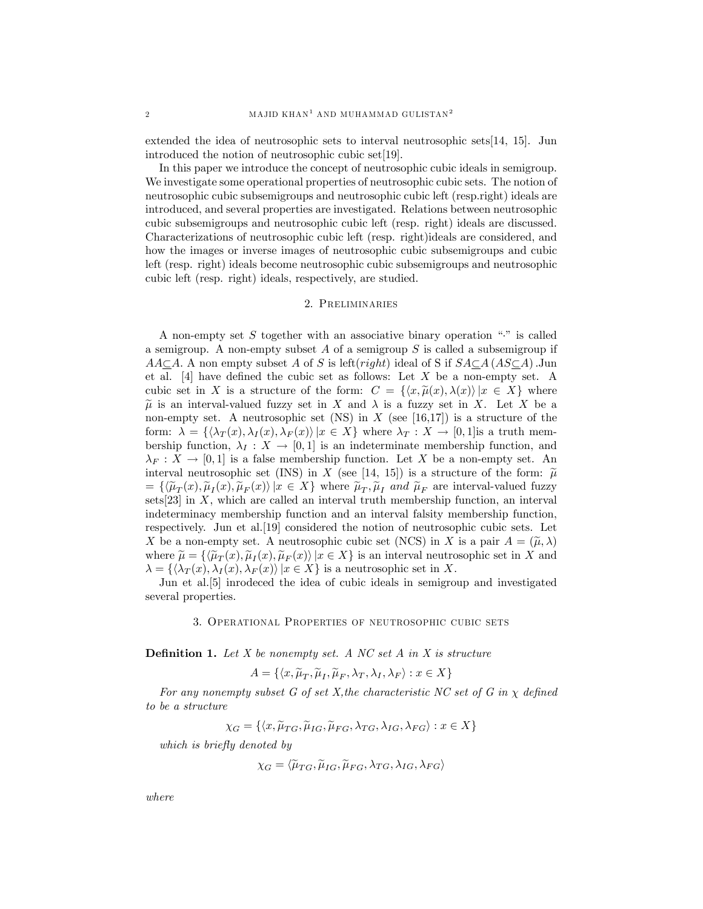extended the idea of neutrosophic sets to interval neutrosophic sets[14, 15]. Jun introduced the notion of neutrosophic cubic set[19].

In this paper we introduce the concept of neutrosophic cubic ideals in semigroup. We investigate some operational properties of neutrosophic cubic sets. The notion of neutrosophic cubic subsemigroups and neutrosophic cubic left (resp.right) ideals are introduced, and several properties are investigated. Relations between neutrosophic cubic subsemigroups and neutrosophic cubic left (resp. right) ideals are discussed. Characterizations of neutrosophic cubic left (resp. right)ideals are considered, and how the images or inverse images of neutrosophic cubic subsemigroups and cubic left (resp. right) ideals become neutrosophic cubic subsemigroups and neutrosophic cubic left (resp. right) ideals, respectively, are studied.

# 2. Preliminaries

A non-empty set  $S$  together with an associative binary operation  $\ddots$  is called a semigroup. A non-empty subset  $A$  of a semigroup  $S$  is called a subsemigroup if  $A\mathcal{A}\subset A$ . A non empty subset A of S is left(*right*) ideal of S if  $S\mathcal{A}\subset A$  ( $AS\subset A$ ). Jun et al.  $[4]$  have defined the cubic set as follows: Let X be a non-empty set. A cubic set in X is a structure of the form:  $C = \{\langle x, \tilde{\mu}(x), \lambda(x) \rangle | x \in X\}$  where  $\widetilde{\mu}$  is an interval-valued fuzzy set in X and  $\lambda$  is a fuzzy set in X. Let X be a non-empty set. A neutrosophic set (NS) in X (see [16,17]) is a structure of the form:  $\lambda = \{\langle \lambda_T(x), \lambda_I(x), \lambda_F(x) \rangle | x \in X \}$  where  $\lambda_T : X \to [0, 1]$  is a truth membership function,  $\lambda_I : X \to [0,1]$  is an indeterminate membership function, and  $\lambda_F : X \to [0,1]$  is a false membership function. Let X be a non-empty set. An interval neutrosophic set (INS) in X (see [14, 15]) is a structure of the form:  $\tilde{\mu}$  $=\{\langle \tilde{\mu}_T(x), \tilde{\mu}_I(x), \tilde{\mu}_F(x) \rangle | x \in X\}$  where  $\tilde{\mu}_T, \tilde{\mu}_I$  and  $\tilde{\mu}_F$  are interval-valued fuzzy sets[23] in  $X$ , which are called an interval truth membership function, an interval indeterminacy membership function and an interval falsity membership function, respectively. Jun et al.[19] considered the notion of neutrosophic cubic sets. Let X be a non-empty set. A neutrosophic cubic set (NCS) in X is a pair  $A = (\tilde{\mu}, \lambda)$ where  $\widetilde{\mu} = \{ \langle \widetilde{\mu}_T(x), \widetilde{\mu}_I(x), \widetilde{\mu}_F(x) \rangle \mid x \in X \}$  is an interval neutrosophic set in X and  $\lambda = \{\langle \lambda_T(x), \lambda_I(x), \lambda_F(x) \rangle | x \in X\}$  is a neutrosophic set in X.

Jun et al.[5] inrodeced the idea of cubic ideals in semigroup and investigated several properties.

## 3. Operational Properties of neutrosophic cubic sets

**Definition 1.** Let X be nonempty set. A NC set A in X is structure

$$
A = \{ \langle x, \widetilde{\mu}_T, \widetilde{\mu}_I, \widetilde{\mu}_F, \lambda_T, \lambda_I, \lambda_F \rangle : x \in X \}
$$

For any nonempty subset G of set X, the characteristic NC set of G in  $\chi$  defined to be a structure

$$
\chi_G = \{ \langle x, \widetilde{\mu}_{TG}, \widetilde{\mu}_{IG}, \widetilde{\mu}_{FG}, \lambda_{TG}, \lambda_{IG}, \lambda_{FG} \rangle : x \in X \}
$$

which is briefly denoted by

$$
\chi_G = \langle \widetilde{\mu}_{TG}, \widetilde{\mu}_{IG}, \widetilde{\mu}_{FG}, \lambda_{TG}, \lambda_{IG}, \lambda_{FG} \rangle
$$

where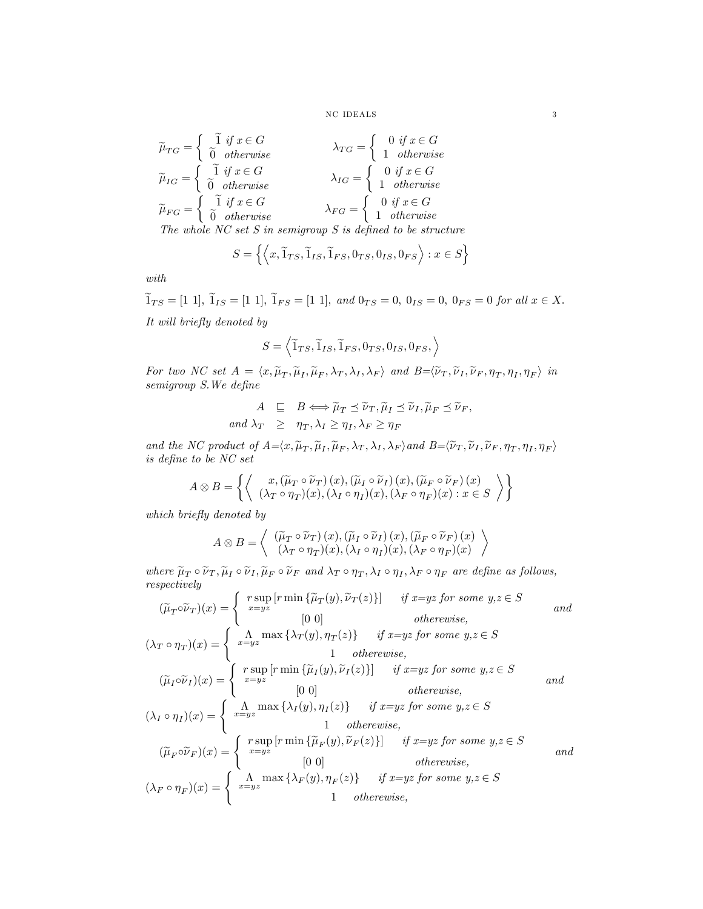$$
\widetilde{\mu}_{TG} = \begin{cases}\n\widetilde{1} & \text{if } x \in G \\
\widetilde{0} & \text{otherwise}\n\end{cases}\n\qquad\n\begin{aligned}\n\lambda_{TG} = \begin{cases}\n0 & \text{if } x \in G \\
1 & \text{otherwise}\n\end{cases} \\
\widetilde{\mu}_{IG} = \begin{cases}\n\widetilde{1} & \text{if } x \in G \\
\widetilde{0} & \text{otherwise}\n\end{cases}\n\qquad\n\begin{aligned}\n\lambda_{TG} = \begin{cases}\n0 & \text{if } x \in G \\
1 & \text{otherwise}\n\end{cases} \\
\widetilde{\mu}_{FG} = \begin{cases}\n\widetilde{1} & \text{if } x \in G \\
\widetilde{0} & \text{otherwise}\n\end{cases}\n\qquad\n\begin{aligned}\n\lambda_{FG} = \begin{cases}\n0 & \text{if } x \in G \\
1 & \text{otherwise}\n\end{cases} \\
\text{The whole } NG \text{ set } S \text{ in semigroup } S \text{ is defined to be structure}\n\end{aligned}\n\end{aligned}
$$

The whole  $NC$  set  $S$  in semigroup  $S$  is defined to be structure

$$
S=\left\lbrace \left\langle x,\widetilde{{\bf 1}}_{TS},\widetilde{{\bf 1}}_{IS},\widetilde{{\bf 1}}_{FS},0_{TS},0_{IS},0_{FS}\right\rangle : x\in S\right\rbrace
$$

with

 $\widetilde{1}_{TS} = [1 \; 1], \ \widetilde{1}_{IS} = [1 \; 1], \ \widetilde{1}_{FS} = [1 \; 1], \ and \ 0_{TS} = 0, \ 0_{IS} = 0, \ 0_{FS} = 0 \ for \ all \ x \in X.$ It will briefly denoted by

$$
S=\left\langle \widetilde{{\mathbf 1}}_{TS}, \widetilde{{\mathbf 1}}_{IS}, \widetilde{{\mathbf 1}}_{FS}, {\mathbf 0}_{TS}, {\mathbf 0}_{IS}, {\mathbf 0}_{FS}, \right\rangle
$$

For two NC set  $A = \langle x, \tilde{\mu}_T, \tilde{\mu}_I, \tilde{\mu}_F, \lambda_T, \lambda_I, \lambda_F \rangle$  and  $B = \langle \tilde{\nu}_T, \tilde{\nu}_I, \tilde{\nu}_F, \eta_T, \eta_I, \eta_F \rangle$  in semigroup S.We define

$$
A \subseteq B \Longleftrightarrow \widetilde{\mu}_T \preceq \widetilde{\nu}_T, \widetilde{\mu}_I \preceq \widetilde{\nu}_I, \widetilde{\mu}_F \preceq \widetilde{\nu}_F,
$$
  
and  $\lambda_T \geq \eta_T, \lambda_I \geq \eta_I, \lambda_F \geq \eta_F$ 

and the NC product of  $A = \langle x, \tilde{\mu}_T, \tilde{\mu}_I, \tilde{\mu}_F, \lambda_T, \lambda_I, \lambda_F \rangle$  and  $B = \langle \tilde{\nu}_T, \tilde{\nu}_I, \tilde{\nu}_F, \eta_T, \eta_I, \eta_F \rangle$ is define to be NC set

$$
A \otimes B = \left\{ \left\langle \begin{array}{c} x, (\widetilde{\mu}_T \circ \widetilde{\nu}_T)(x), (\widetilde{\mu}_I \circ \widetilde{\nu}_I)(x), (\widetilde{\mu}_F \circ \widetilde{\nu}_F)(x) \\ (\lambda_T \circ \eta_T)(x), (\lambda_I \circ \eta_I)(x), (\lambda_F \circ \eta_F)(x) : x \in S \end{array} \right\rangle \right\}
$$

which briefly denoted by

$$
A \otimes B = \left\langle \begin{array}{c} (\widetilde{\mu}_T \circ \widetilde{\nu}_T)(x), (\widetilde{\mu}_I \circ \widetilde{\nu}_I)(x), (\widetilde{\mu}_F \circ \widetilde{\nu}_F)(x) \\ (\lambda_T \circ \eta_T)(x), (\lambda_I \circ \eta_I)(x), (\lambda_F \circ \eta_F)(x) \end{array} \right\rangle
$$

where  $\tilde{\mu}_T \circ \tilde{\nu}_T$ ,  $\tilde{\mu}_I \circ \tilde{\nu}_I$ ,  $\tilde{\mu}_F \circ \tilde{\nu}_F$  and  $\lambda_T \circ \eta_T$ ,  $\lambda_I \circ \eta_I$ ,  $\lambda_F \circ \eta_F$  are define as follows, respectively

$$
(\tilde{\mu}_{T}\circ\tilde{\nu}_{T})(x) = \begin{cases} r \sup_{x=yz} [r \min{\{\tilde{\mu}_{T}(y), \tilde{\nu}_{T}(z)\}}] & \text{if } x=yz \text{ for some } y,z \in S \\ 0 & \text{otherwise,} \end{cases} \text{ and } \\ (\lambda_{T}\circ\eta_{T})(x) = \begin{cases} \Lambda \max{\{\lambda_{T}(y), \eta_{T}(z)\}} & \text{if } x=yz \text{ for some } y,z \in S \\ 1 & \text{otherwise,} \end{cases} \\ (\tilde{\mu}_{I}\circ\tilde{\nu}_{I})(x) = \begin{cases} r \sup_{x=yz} [r \min{\{\tilde{\mu}_{I}(y), \tilde{\nu}_{I}(z)\}}] & \text{if } x=yz \text{ for some } y,z \in S \\ x=yz \end{cases} \text{ and } \\ (\lambda_{I}\circ\eta_{I})(x) = \begin{cases} \Lambda \max{\{\lambda_{I}(y), \eta_{I}(z)\}} & \text{if } x=yz \text{ for some } y,z \in S \\ 1 & \text{otherwise,} \end{cases} \\ (\tilde{\mu}_{F}\circ\tilde{\nu}_{F})(x) = \begin{cases} r \sup_{x=yz} [r \min{\{\tilde{\mu}_{F}(y), \tilde{\nu}_{F}(z)\}}] & \text{if } x=yz \text{ for some } y,z \in S \\ 0 & \text{otherwise,} \end{cases} \\ (\lambda_{F}\circ\eta_{F})(x) = \begin{cases} \Lambda \max{\{\lambda_{F}(y), \eta_{F}(z)\}} & \text{if } x=yz \text{ for some } y,z \in S \\ x=yz \end{cases} \text{ and } \\ (\lambda_{F}\circ\eta_{F})(x) = \begin{cases} \Lambda \max{\{\lambda_{F}(y), \eta_{F}(z)\}} & \text{if } x=yz \text{ for some } y,z \in S \\ 1 & \text{otherwise,} \end{cases} \end{cases}
$$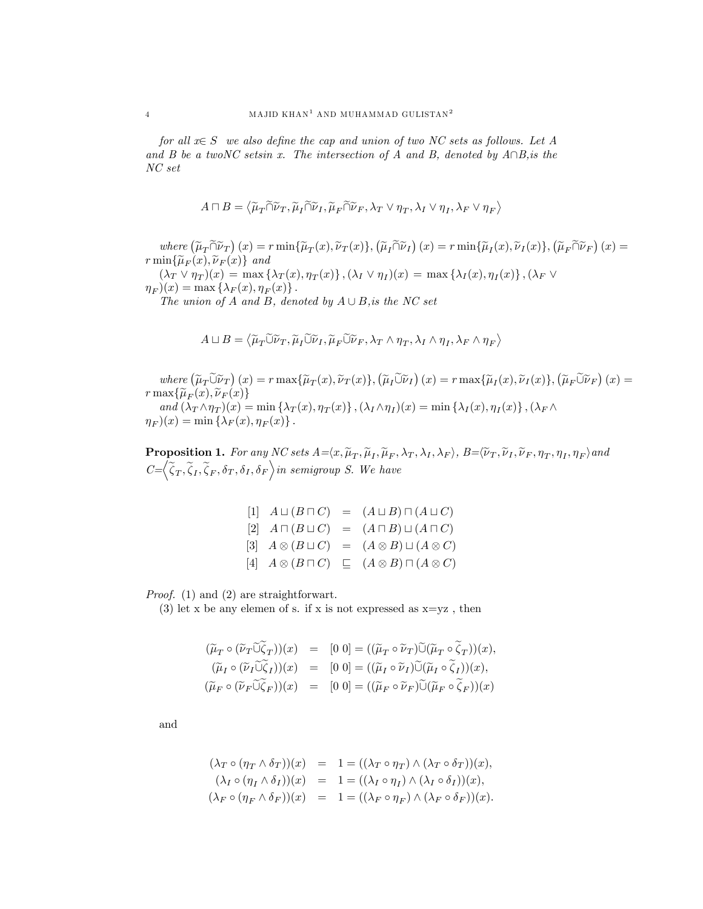for all  $x \in S$  we also define the cap and union of two NC sets as follows. Let A and B be a twoNC setsin x. The intersection of A and B, denoted by  $A\cap B$ , is the NC set

$$
A\sqcap B=\left\langle \widetilde{\mu}_T\widetilde{\cap}\widetilde{\nu}_T,\widetilde{\mu}_I\widetilde{\cap}\widetilde{\nu}_I,\widetilde{\mu}_F\widetilde{\cap}\widetilde{\nu}_F,\lambda_T\vee\eta_T,\lambda_I\vee\eta_I,\lambda_F\vee\eta_F\right\rangle
$$

where  $(\tilde{\mu}_T \tilde{\cap} \tilde{\nu}_T)(x) = r \min{\{\tilde{\mu}_T(x), \tilde{\nu}_T(x)\}}, (\tilde{\mu}_I \tilde{\cap} \tilde{\nu}_I)(x) = r \min{\{\tilde{\mu}_I(x), \tilde{\nu}_I(x)\}}, (\tilde{\mu}_F \tilde{\cap} \tilde{\nu}_F)(x) =$  $r \min\{\widetilde{\mu}_F(x), \widetilde{\nu}_F(x)\}\$ and

 $(\lambda_T \vee \eta_T)(x) = \max \{\lambda_T(x), \eta_T(x)\}, (\lambda_I \vee \eta_I)(x) = \max \{\lambda_I(x), \eta_I(x)\}, (\lambda_F \vee \eta_I)(x) = \max \{\lambda_I(x), \eta_I(x)\}$  $\eta_F (x) = \max \left\{ \lambda_F (x), \eta_F (x) \right\}.$ 

The union of A and B, denoted by  $A \cup B$ , is the NC set

$$
A \sqcup B = \langle \widetilde{\mu}_T \widetilde{\cup} \widetilde{\nu}_T, \widetilde{\mu}_I \widetilde{\cup} \widetilde{\nu}_I, \widetilde{\mu}_F \widetilde{\cup} \widetilde{\nu}_F, \lambda_T \wedge \eta_T, \lambda_I \wedge \eta_I, \lambda_F \wedge \eta_F \rangle
$$

where  $(\tilde{\mu}_T \tilde{\cup} \tilde{\nu}_T)(x) = r \max{\{\tilde{\mu}_T(x), \tilde{\nu}_T(x)\}}, (\tilde{\mu}_I \tilde{\cup} \tilde{\nu}_I)(x) = r \max{\{\tilde{\mu}_I(x), \tilde{\nu}_I(x)\}}, (\tilde{\mu}_F \tilde{\cup} \tilde{\nu}_F)(x) =$  $r \max\{\widetilde{\mu}_F(x), \widetilde{\nu}_F(x)\}\$ and  $(\lambda_T \wedge \eta_T)(x) = \min \{\lambda_T(x), \eta_T(x)\}, (\lambda_I \wedge \eta_I)(x) = \min \{\lambda_I(x), \eta_I(x)\}, (\lambda_F \wedge \eta_I)(x) = \min \{\lambda_I(x), \eta_I(x)\}$  $\eta_F (x) = \min \left\{ \lambda_F (x), \eta_F (x) \right\}.$ 

**Proposition 1.** For any NC sets  $A = \langle x, \widetilde{\mu}_T, \widetilde{\mu}_I, \widetilde{\mu}_F, \lambda_T, \lambda_I, \lambda_F \rangle$ ,  $B = \langle \widetilde{\nu}_T, \widetilde{\nu}_I, \widetilde{\nu}_F, \eta_T, \eta_I, \eta_F \rangle$  and  $C=\bigg\langle \tilde{\zeta}_T,\tilde{\zeta}_I,\tilde{\zeta}_F,\delta_T,\delta_I,\delta_F \bigg\rangle$ in semigroup S. We have

|  | $[1] \quad A \sqcup (B \sqcap C) \quad = \quad (A \sqcup B) \sqcap (A \sqcup C)$ |
|--|----------------------------------------------------------------------------------|
|  | $[2] \quad A \sqcap (B \sqcup C) \quad = \quad (A \sqcap B) \sqcup (A \sqcap C)$ |
|  | $[3]$ $A \otimes (B \sqcup C) = (A \otimes B) \sqcup (A \otimes C)$              |
|  | $[4]$ $A \otimes (B \sqcap C)$ $\sqsubseteq (A \otimes B) \sqcap (A \otimes C)$  |
|  |                                                                                  |

Proof. (1) and (2) are straightforwart.

(3) let x be any elemen of s. if x is not expressed as  $x=yz$ , then

$$
\begin{array}{rcl}\n(\widetilde{\mu}_T \circ (\widetilde{\nu}_T \widetilde{\cup} \widetilde{\zeta}_T))(x) & = & [0\ 0] = ((\widetilde{\mu}_T \circ \widetilde{\nu}_T) \widetilde{\cup} (\widetilde{\mu}_T \circ \widetilde{\zeta}_T))(x), \\
(\widetilde{\mu}_I \circ (\widetilde{\nu}_I \widetilde{\cup} \widetilde{\zeta}_I))(x) & = & [0\ 0] = ((\widetilde{\mu}_I \circ \widetilde{\nu}_I) \widetilde{\cup} (\widetilde{\mu}_I \circ \widetilde{\zeta}_I))(x), \\
(\widetilde{\mu}_F \circ (\widetilde{\nu}_F \widetilde{\cup} \widetilde{\zeta}_F))(x) & = & [0\ 0] = ((\widetilde{\mu}_F \circ \widetilde{\nu}_F) \widetilde{\cup} (\widetilde{\mu}_F \circ \widetilde{\zeta}_F))(x)\n\end{array}
$$

and

$$
(\lambda_T \circ (\eta_T \wedge \delta_T))(x) = 1 = ((\lambda_T \circ \eta_T) \wedge (\lambda_T \circ \delta_T))(x),
$$
  

$$
(\lambda_I \circ (\eta_I \wedge \delta_I))(x) = 1 = ((\lambda_I \circ \eta_I) \wedge (\lambda_I \circ \delta_I))(x),
$$
  

$$
(\lambda_F \circ (\eta_F \wedge \delta_F))(x) = 1 = ((\lambda_F \circ \eta_F) \wedge (\lambda_F \circ \delta_F))(x).
$$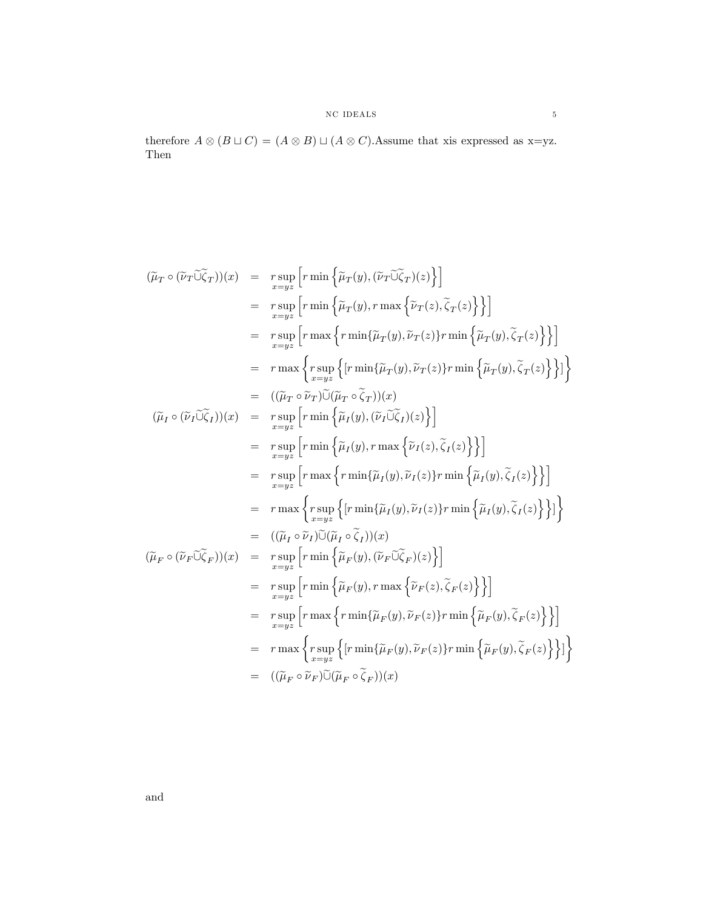therefore  $A \otimes (B \sqcup C) = (A \otimes B) \sqcup (A \otimes C)$ . Assume that xis expressed as x=yz. Then

$$
(\tilde{\mu}_{T} \circ (\tilde{\nu}_{T} \widetilde{\cup} \widetilde{\zeta}_{T}))(x) = r \sup_{x=yz} \left[ r \min \left\{ \tilde{\mu}_{T}(y), (\tilde{\nu}_{T} \widetilde{\cup} \widetilde{\zeta}_{T})(z) \right\} \right]
$$
  
\n
$$
= r \sup_{x=yz} \left[ r \min \left\{ \tilde{\mu}_{T}(y), r \max \left\{ \tilde{\nu}_{T}(z), \tilde{\zeta}_{T}(z) \right\} \right\} \right]
$$
  
\n
$$
= r \sup_{x=yz} \left[ r \max \left\{ r \min \{\tilde{\mu}_{T}(y), \tilde{\nu}_{T}(z)\} r \min \left\{ \tilde{\mu}_{T}(y), \tilde{\zeta}_{T}(z) \right\} \right\} \right]
$$
  
\n
$$
= r \max \left\{ r \sup_{x=yz} \left\{ r \min \{\tilde{\mu}_{T}(y), \tilde{\nu}_{T}(z)\} r \min \left\{ \tilde{\mu}_{T}(y), \tilde{\zeta}_{T}(z) \right\} \right\} \right\}
$$
  
\n
$$
= (\tilde{\mu}_{T} \circ \tilde{\nu}_{T}) \widetilde{\cup} (\tilde{\mu}_{T} \circ \tilde{\zeta}_{T}))(x)
$$
  
\n
$$
= r \sup_{x=yz} \left[ r \min \left\{ \tilde{\mu}_{I}(y), (\tilde{\nu}_{I} \widetilde{\cup} \widetilde{\zeta}_{I})(z) \right\} \right]
$$
  
\n
$$
= r \sup_{x=yz} \left[ r \min \left\{ \tilde{\mu}_{I}(y), r \max \left\{ \tilde{\nu}_{I}(z), \tilde{\zeta}_{I}(z) \right\} \right\} \right]
$$
  
\n
$$
= r \max \left\{ r \sup_{x=yz} \left\{ r \min \{\tilde{\mu}_{I}(y), \tilde{\nu}_{I}(z)\} r \min \left\{ \tilde{\mu}_{I}(y), \tilde{\zeta}_{I}(z) \right\} \right\} \right\}
$$
  
\n
$$
= r \max \left\{ r \sup_{x=yz} \left[ r \min \{\tilde{\mu}_{I}(y), \tilde{\nu}_{I}(z)\} r \min \left\{ \tilde{\mu}_{I}(y), \tilde{\zeta}_{I}(
$$

and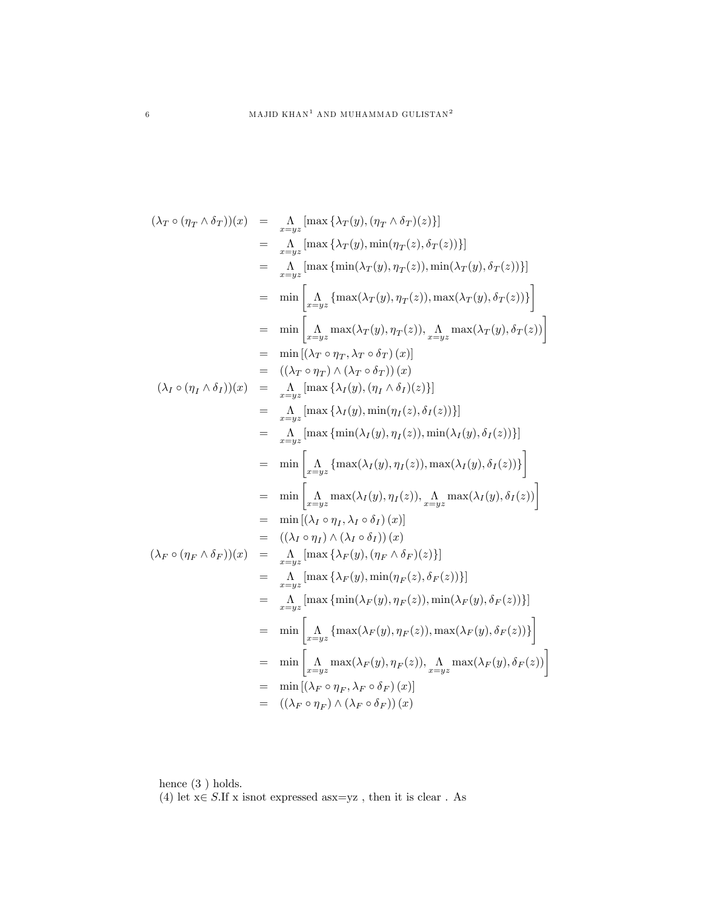$$
(\lambda_T \circ (\eta_T \wedge \delta_T))(x) = \sum_{x=y_z} \max_{\text{max}} \{ \lambda_T(y), (\eta_T \wedge \delta_T(z)) \}
$$
\n
$$
= \sum_{x=y_z} \max \{ \lambda_T(y), \min(\eta_T(z), \delta_T(z)) \}
$$
\n
$$
= \sum_{x=y_z} \max \{ \min(\lambda_T(y), \eta_T(z)), \min(\lambda_T(y), \delta_T(z)) \}
$$
\n
$$
= \min \left[ \sum_{x=y_z} \{ \max(\lambda_T(y), \eta_T(z)), \max(\lambda_T(y), \delta_T(z)) \} \right]
$$
\n
$$
= \min \left[ \sum_{x=y_z} \max(\lambda_T(y), \eta_T(z)), \sum_{x=y_z} \max(\lambda_T(y), \delta_T(z)) \right]
$$
\n
$$
= \min \left[ (\lambda_T \circ \eta_T, \lambda_T \circ \delta_T) (x) \right]
$$
\n
$$
= (\lambda_T \circ \eta_T) \wedge (\lambda_T \circ \delta_T) (x)
$$
\n
$$
= (\lambda_T \circ \eta_T) \wedge (\lambda_T \circ \delta_T) (x)
$$
\n
$$
= \sum_{x=y_z} \max \{ \lambda_I(y), \min(\eta_I(z), \delta_I(z)) \}
$$
\n
$$
= \sum_{x=y_z} \max \{ \lambda_I(y), \min(\eta_I(z), \delta_I(z)) \}
$$
\n
$$
= \sum_{x=y_z} \max \{ \min(\lambda_I(y), \eta_I(z)), \max(\lambda_I(y), \delta_I(z)) \}
$$
\n
$$
= \min \left[ \sum_{x=y_z} \{ \max(\lambda_I(y), \eta_I(z)), \max(\lambda_I(y), \delta_I(z)) \} \right]
$$
\n
$$
= \min \left[ \sum_{x=y_z} \{ \max(\lambda_I(y), \eta_I(z)), \sum_{x=y_z} \max(\lambda_I(y), \delta_I(z)) \} \right]
$$
\n
$$
= \min \left[ (\lambda_I \circ \eta_I, \lambda_I \circ \delta_I) (x) \right]
$$
\n
$$
= (\lambda_I \circ \eta_I) \wedge (\lambda_I \circ \delta_I) (x)
$$
\n
$$
= (\lambda_T \circ \eta_I) \wedge (\lambda_I \circ \delta_I) (x)
$$
\n
$$
= \sum_{x=y_z} \max \{ \lambda_F(y), \eta_F(z), \min(\lambda_F(y), \delta_F(z)) \} ]
$$
\n

hence (3 ) holds. (4) let  $x \in S$ .If x isnot expressed as $x=yz$ , then it is clear. As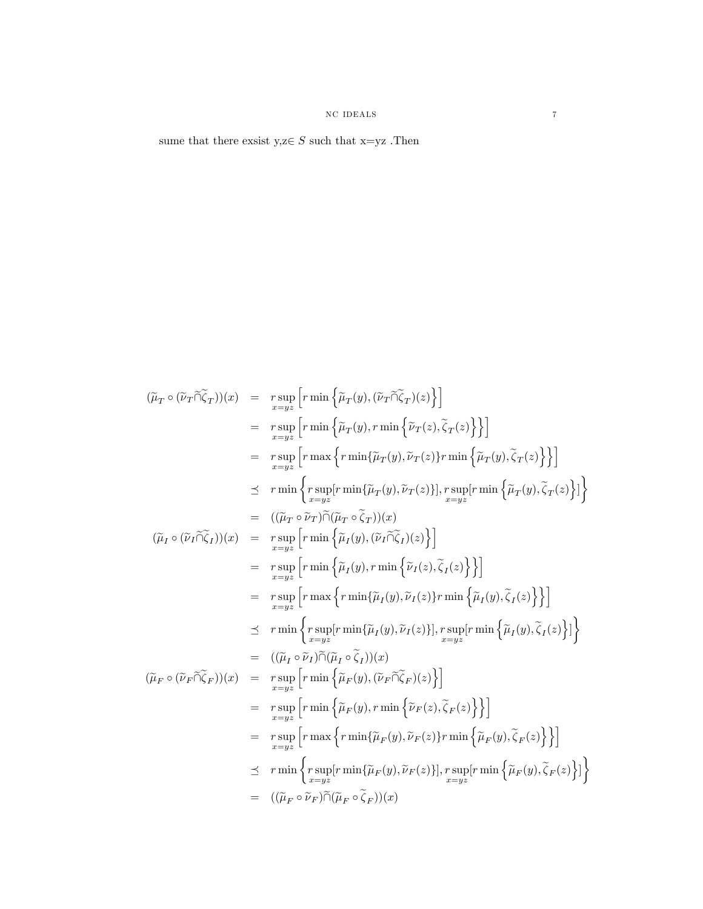sume that there exsist y,z∈ $S$  such that x=yz .Then

$$
(\tilde{\mu}_{T} \circ (\tilde{\nu}_{T} \tilde{\cap} \tilde{\zeta}_{T}))(x) = r \sup_{x=yz} \left[ r \min \left\{ \tilde{\mu}_{T}(y), (\tilde{\nu}_{T} \tilde{\cap} \tilde{\zeta}_{T})(z) \right\} \right]
$$
\n
$$
= r \sup_{x=yz} \left[ r \min \left\{ \tilde{\mu}_{T}(y), r \min \left\{ \tilde{\nu}_{T}(z), \tilde{\zeta}_{T}(z) \right\} \right\} \right]
$$
\n
$$
= r \sup_{x=yz} \left[ r \max \left\{ r \min \{\tilde{\mu}_{T}(y), \tilde{\nu}_{T}(z)\} r \min \left\{ \tilde{\mu}_{T}(y), \tilde{\zeta}_{T}(z) \right\} \right\} \right]
$$
\n
$$
\leq r \min \left\{ r \sup_{x=yz} \left[ r \min \{\tilde{\mu}_{T}(y), \tilde{\nu}_{T}(z)\} r \min \left\{ \tilde{\mu}_{T}(y), \tilde{\zeta}_{T}(z) \right\} \right] \right\}
$$
\n
$$
= ((\tilde{\mu}_{T} \circ \tilde{\nu}_{T}) \tilde{\cap} (\tilde{\mu}_{T} \circ \tilde{\zeta}_{T}))(x)
$$
\n
$$
(\tilde{\mu}_{I} \circ (\tilde{\nu}_{I} \tilde{\cap} \tilde{\zeta}_{I}))(x) = r \sup_{x=yz} \left[ r \min \left\{ \tilde{\mu}_{I}(y), (\tilde{\nu}_{I} \tilde{\cap} \tilde{\zeta}_{I})(z) \right\} \right]
$$
\n
$$
= r \sup_{x=yz} \left[ r \min \left\{ \tilde{\mu}_{I}(y), r \min \left\{ \tilde{\nu}_{I}(z), \tilde{\zeta}_{I}(z) \right\} \right\} \right]
$$
\n
$$
= r \sup_{x=yz} \left[ r \max \left\{ r \min \{\tilde{\mu}_{I}(y), \tilde{\nu}_{I}(z)\} r \min \left\{ \tilde{\mu}_{I}(y), \tilde{\zeta}_{I}(z) \right\} \right\} \right]
$$
\n
$$
\leq r \min \left\{ r \sup_{x=yz} \left[ r \min \{\tilde{\mu}_{I}(y), \tilde{\nu}_{I}(z)\} r \min \left\{ \tilde{\mu}_{I
$$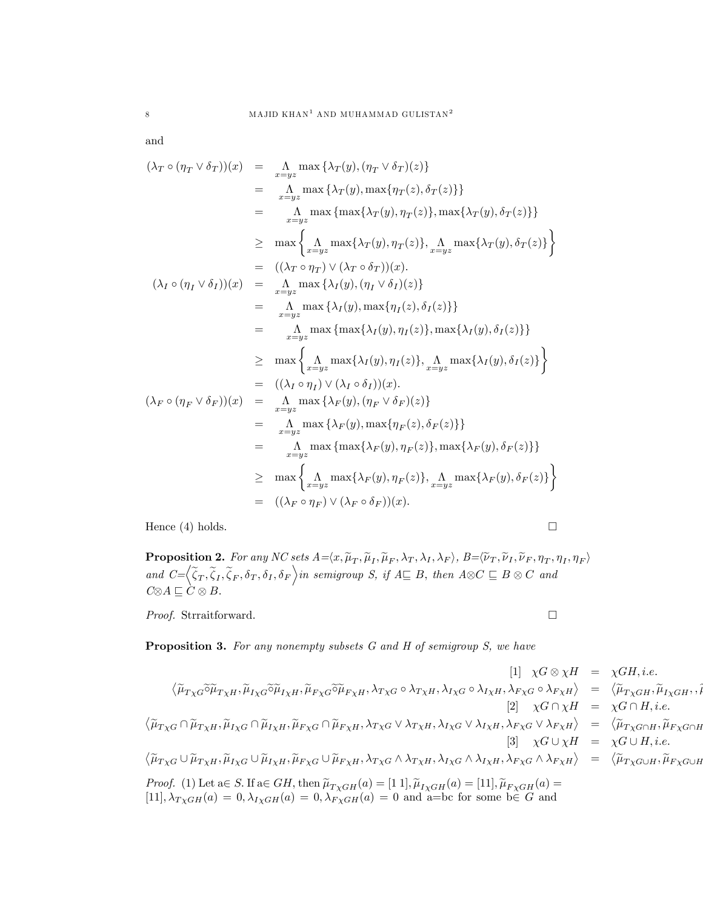and

$$
(\lambda_T \circ (\eta_T \vee \delta_T))(x) = \Lambda_{x=yz} \max \{\lambda_T(y), (\eta_T \vee \delta_T)(z)\}
$$
  
\n
$$
= \Lambda_{x=yz} \max \{\lambda_T(y), \max\{\eta_T(z), \delta_T(z)\}\}
$$
  
\n
$$
= \Lambda_{x=yz} \max \{\max\{\lambda_T(y), \eta_T(z)\}, \max\{\lambda_T(y), \delta_T(z)\}\}
$$
  
\n
$$
\geq \max \left\{\Lambda_{x=yz} \max\{\lambda_T(y), \eta_T(z)\}, \Lambda_{x=yz} \max\{\lambda_T(y), \delta_T(z)\}\right\}
$$
  
\n
$$
= ((\lambda_T \circ \eta_T) \vee (\lambda_T \circ \delta_T))(x).
$$
  
\n
$$
(\lambda_I \circ (\eta_I \vee \delta_I))(x) = \Lambda_{x=yz} \max \{\lambda_I(y), (\eta_I \vee \delta_I)(z)\}
$$
  
\n
$$
= \Lambda_{x=yz} \max \{\lambda_I(y), \max\{\eta_I(z), \delta_I(z)\}\}
$$
  
\n
$$
= \Lambda_{x=yz} \max \{\max\{\lambda_I(y), \eta_I(z)\}, \max\{\lambda_I(y), \delta_I(z)\}\}
$$
  
\n
$$
\geq \max \left\{\Lambda_{x=yz} \max\{\lambda_I(y), \eta_I(z)\}, \Lambda_{x=yz} \max\{\lambda_I(y), \delta_I(z)\}\right\}
$$
  
\n
$$
= ((\lambda_I \circ \eta_I) \vee (\lambda_I \circ \delta_I))(x).
$$
  
\n
$$
(\lambda_F \circ (\eta_F \vee \delta_F))(x) = \Lambda_{x=yz} \max \{\lambda_F(y), (\eta_F \vee \delta_F)(z)\}
$$
  
\n
$$
= \Lambda_{x=yz} \max \{\lambda_F(y), \max\{\eta_F(z), \delta_F(z)\}\}
$$
  
\n
$$
= \Lambda_{x=yz} \max \{\max\{\lambda_F(y), \eta_F(z)\}, \max\{\lambda_F(y), \delta_F(z)\}\}
$$
  
\n
$$
\geq \max \left\{\Lambda_{x=yz} \max\{\lambda_F(y), \eta_F(z)\}, \Lambda_{x=yz} \max\{\lambda_F(y), \delta_F(z)\}\right\}
$$
  
\n
$$
= ((\lambda_F \circ \eta_F) \vee (\lambda_F \circ \delta_F))(x).
$$

Hence (4) holds.  $\Box$ 

**Proposition 2.** For any NC sets  $A = \langle x, \tilde{\mu}_T, \tilde{\mu}_I, \tilde{\mu}_F, \lambda_T, \lambda_I, \lambda_F \rangle$ ,  $B = \langle \tilde{\nu}_T, \tilde{\nu}_I, \tilde{\nu}_F, \eta_T, \eta_I, \eta_F \rangle$ and  $C = \big\langle \widetilde{\zeta}_T, \widetilde{\zeta}_I, \widetilde{\zeta}_F, \delta_T, \delta_I, \delta_F \big\rangle$  in semigroup S, if  $A \sqsubseteq B$ , then  $A \otimes C \sqsubseteq B \otimes C$  and  $C \otimes A \sqsubseteq C \otimes B.$ 

*Proof.* Strraitforward.  $\square$ 

Proposition 3. For any nonempty subsets G and H of semigroup S, we have

$$
\langle \tilde{\mu}_{T\chi G} \tilde{\phi} \tilde{\mu}_{T\chi H}, \tilde{\mu}_{I\chi G} \tilde{\phi} \tilde{\mu}_{I\chi H}, \tilde{\mu}_{F\chi G} \tilde{\phi} \tilde{\mu}_{F\chi H}, \lambda_{T\chi G} \circ \lambda_{T\chi H}, \lambda_{I\chi G} \circ \lambda_{I\chi H}, \lambda_{F\chi G} \circ \lambda_{F\chi H} \rangle = \langle \tilde{\mu}_{T\chi GH}, \tilde{\mu}_{I\chi GH}, \tilde{\mu}_{I\chi GH}, \tilde{\mu}_{I\chi GH}, \tilde{\mu}_{I\chi GH}, \tilde{\mu}_{I\chi H}, \tilde{\mu}_{I\chi G} \cap \tilde{\mu}_{I\chi H}, \tilde{\mu}_{I\chi G} \cap \tilde{\mu}_{I\chi H}, \tilde{\mu}_{F\chi G} \cap \tilde{\mu}_{F\chi H}, \lambda_{T\chi G} \vee \lambda_{T\chi H}, \lambda_{I\chi G} \vee \lambda_{I\chi H}, \lambda_{F\chi G} \vee \lambda_{F\chi H} \rangle = \langle \tilde{\mu}_{T\chi G \cap H}, \tilde{\mu}_{F\chi G \cap H} \rangle
$$
\n
$$
\langle \tilde{\mu}_{T\chi G} \cup \tilde{\mu}_{T\chi H}, \tilde{\mu}_{I\chi G} \cup \tilde{\mu}_{I\chi H}, \tilde{\mu}_{F\chi G} \cup \tilde{\mu}_{F\chi H}, \lambda_{T\chi G} \wedge \lambda_{T\chi H}, \lambda_{I\chi G} \wedge \lambda_{I\chi H}, \lambda_{F\chi G} \wedge \lambda_{F\chi H} \rangle = \langle \tilde{\mu}_{T\chi G \cup H}, \tilde{\mu}_{F\chi G \cup H} \rangle
$$
\n*Proof.* (1) Let a ∈ S. If a ∈ *GH*, then  $\tilde{\mu}_{T\chi GH}(a) = [1\ 1], \tilde{\mu}_{I\chi GH}(a) = [11], \tilde{\mu}_{F\chi GH}(a) = [11], \tilde{\mu}_{F\chi GH}(a) = [11], \lambda_{T\chi GH}(a) = 0, \lambda_{I\chi GH}(a) = 0, \lambda_{F\chi GH}(a) = 0$  and a =bc for some b ∈ *G* and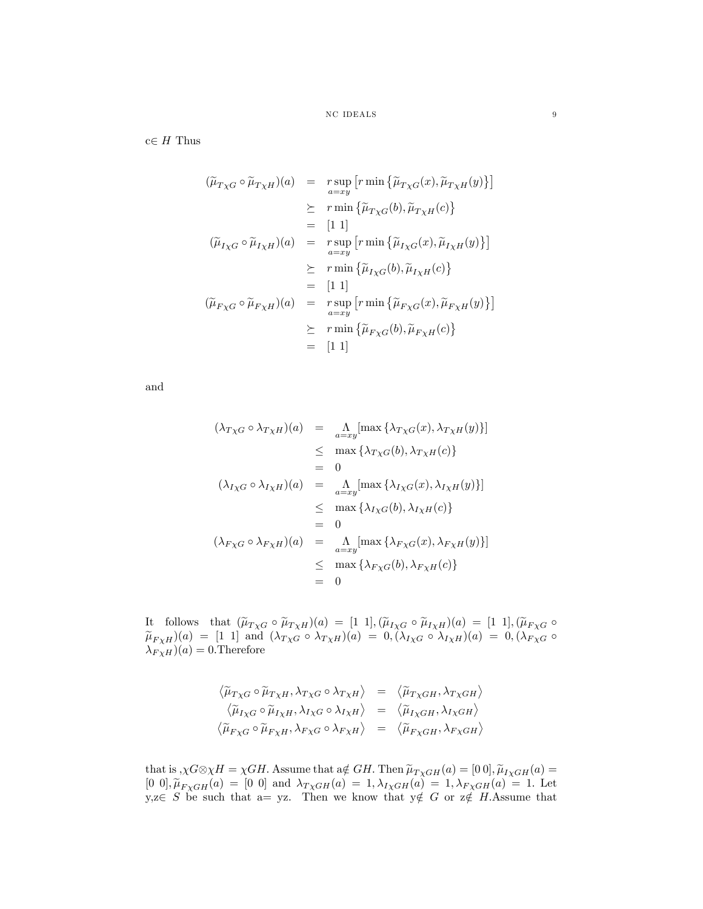$\mathbf{c} {\in H}$  Thus

$$
(\tilde{\mu}_{T\chi G} \circ \tilde{\mu}_{T\chi H})(a) = r \sup_{a=xy} [r \min \{ \tilde{\mu}_{T\chi G}(x), \tilde{\mu}_{T\chi H}(y) \}]
$$
  
\n
$$
\geq r \min \{ \tilde{\mu}_{T\chi G}(b), \tilde{\mu}_{T\chi H}(c) \}
$$
  
\n
$$
= [1 1]
$$
  
\n
$$
(\tilde{\mu}_{I\chi G} \circ \tilde{\mu}_{I\chi H})(a) = r \sup_{a=xy} [r \min \{ \tilde{\mu}_{I\chi G}(x), \tilde{\mu}_{I\chi H}(y) \}]
$$
  
\n
$$
\geq r \min \{ \tilde{\mu}_{I\chi G}(b), \tilde{\mu}_{I\chi H}(c) \}
$$
  
\n
$$
= [1 1]
$$
  
\n
$$
(\tilde{\mu}_{F\chi G} \circ \tilde{\mu}_{F\chi H})(a) = r \sup_{a=xy} [r \min \{ \tilde{\mu}_{F\chi G}(x), \tilde{\mu}_{F\chi H}(y) \}]
$$
  
\n
$$
\geq r \min \{ \tilde{\mu}_{F\chi G}(b), \tilde{\mu}_{F\chi H}(c) \}
$$
  
\n
$$
= [1 1]
$$

and

$$
(\lambda_{T\chi G} \circ \lambda_{T\chi H})(a) = \Lambda_{a=xy}[\max{\lambda_{T\chi G}(x), \lambda_{T\chi H}(y)}]
$$
  
\n
$$
\leq \max{\lambda_{T\chi G}(b), \lambda_{T\chi H}(c)}
$$
  
\n
$$
= 0
$$
  
\n
$$
(\lambda_{I\chi G} \circ \lambda_{I\chi H})(a) = \Lambda_{a=xy}[\max{\lambda_{I\chi G}(x), \lambda_{I\chi H}(y)}]
$$
  
\n
$$
\leq \max{\lambda_{I\chi G}(b), \lambda_{I\chi H}(c)}
$$
  
\n
$$
= 0
$$
  
\n
$$
(\lambda_{F\chi G} \circ \lambda_{F\chi H})(a) = \Lambda_{a=xy}[\max{\lambda_{F\chi G}(x), \lambda_{F\chi H}(y)}]
$$
  
\n
$$
\leq \max{\lambda_{F\chi G}(b), \lambda_{F\chi H}(c)}
$$
  
\n
$$
= 0
$$

It follows that  $(\widetilde{\mu}_{T_{\chi G}} \circ \widetilde{\mu}_{T_{\chi H}})(a) = [1 \ 1], (\widetilde{\mu}_{I_{\chi G}} \circ \widetilde{\mu}_{I_{\chi H}})(a) = [1 \ 1], (\widetilde{\mu}_{F_{\chi G}} \circ$  $\widetilde{\mu}_{F\chi H})(a) = [1 \; 1]$  and  $(\lambda_{T\chi G} \circ \lambda_{T\chi H})(a) = 0, (\lambda_{I\chi G} \circ \lambda_{I\chi H})(a) = 0, (\lambda_{F\chi G} \circ \lambda_{I\chi H})(a)$  $\lambda_{F \chi H}(a) = 0$ . Therefore

$$
\begin{array}{rcl}\n\langle \widetilde{\mu}_{T\chi G} \circ \widetilde{\mu}_{T\chi H}, \lambda_{T\chi G} \circ \lambda_{T\chi H} \rangle & = & \langle \widetilde{\mu}_{T\chi GH}, \lambda_{T\chi GH} \rangle \\
\langle \widetilde{\mu}_{I\chi G} \circ \widetilde{\mu}_{I\chi H}, \lambda_{I\chi G} \circ \lambda_{I\chi H} \rangle & = & \langle \widetilde{\mu}_{I\chi GH}, \lambda_{I\chi GH} \rangle \\
\langle \widetilde{\mu}_{F\chi G} \circ \widetilde{\mu}_{F\chi H}, \lambda_{F\chi G} \circ \lambda_{F\chi H} \rangle & = & \langle \widetilde{\mu}_{F\chi GH}, \lambda_{F\chi GH} \rangle\n\end{array}
$$

that is  ${}_{\mathcal{X}}G\otimes_{\mathcal{X}}H = \chi GH$ . Assume that  ${}_{\mathcal{A}}\notin GH$ . Then  $\tilde{\mu}_{T\chi GH}(a) = [0\ 0], \tilde{\mu}_{I\chi GH}(a) =$ [0 0],  $\widetilde{\mu}_{F_XGH}(a) = [0 \ 0]$  and  $\lambda_{T_XGH}(a) = 1, \lambda_{I_XGH}(a) = 1, \lambda_{F_XGH}(a) = 1$ . Let y,  $z \in S$  be such that a= yz. Then we know that  $y \notin G$  or  $z \notin H$ . Assume that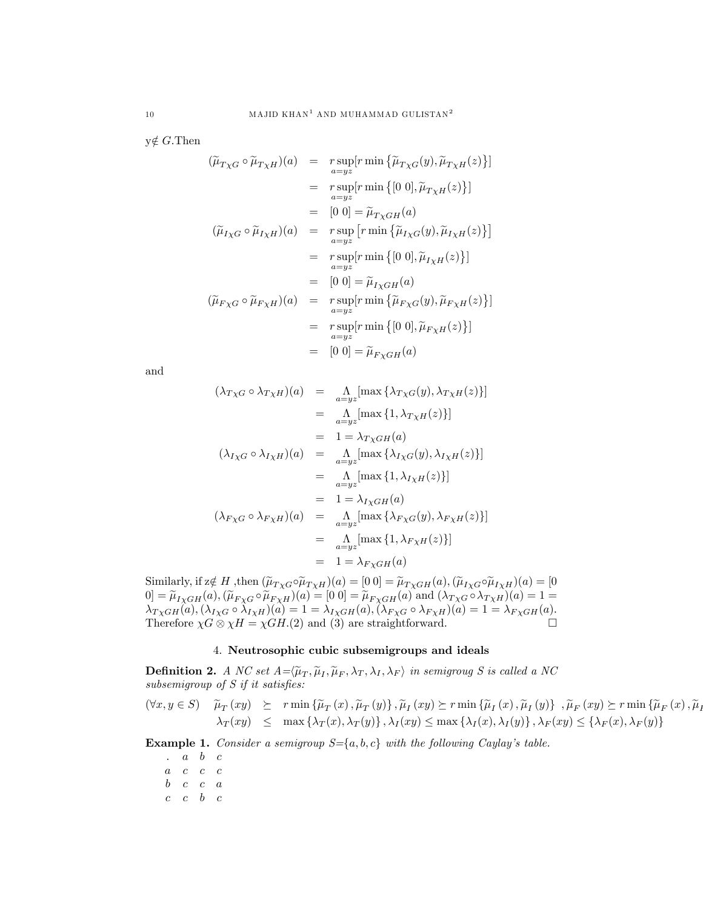$y \notin G$ .Then

$$
(\widetilde{\mu}_{T\chi G} \circ \widetilde{\mu}_{T\chi H})(a) = \underset{a=yz}{r \sup[r \min \{\widetilde{\mu}_{T\chi G}(y), \widetilde{\mu}_{T\chi H}(z)\}]}
$$
  
\n
$$
= \underset{a=yz}{r \sup[r \min \{[0 \ 0], \widetilde{\mu}_{T\chi H}(z)\}]}
$$
  
\n
$$
= [0 \ 0] = \widetilde{\mu}_{T\chi GH}(a)
$$
  
\n
$$
(\widetilde{\mu}_{I\chi G} \circ \widetilde{\mu}_{I\chi H})(a) = \underset{a=yz}{r \sup[r \min \{\widetilde{\mu}_{I\chi G}(y), \widetilde{\mu}_{I\chi H}(z)\}]}
$$
  
\n
$$
= \underset{a=yz}{r \sup[r \min \{[0 \ 0], \widetilde{\mu}_{I\chi H}(z)\}]}
$$
  
\n
$$
= [0 \ 0] = \widetilde{\mu}_{I\chi GH}(a)
$$
  
\n
$$
(\widetilde{\mu}_{F\chi G} \circ \widetilde{\mu}_{F\chi H})(a) = \underset{a=yz}{r \sup[r \min \{\widetilde{\mu}_{F\chi G}(y), \widetilde{\mu}_{F\chi H}(z)\}]}
$$
  
\n
$$
= \underset{a=yz}{r \sup[r \min \{[0 \ 0], \widetilde{\mu}_{F\chi H}(z)\}]}
$$
  
\n
$$
= [0 \ 0] = \widetilde{\mu}_{F\chi GH}(a)
$$

and

$$
(\lambda_{T\chi G} \circ \lambda_{T\chi H})(a) = \Lambda_{a=yz} [\max \{ \lambda_{T\chi G}(y), \lambda_{T\chi H}(z) \}]
$$
  
\n
$$
= \Lambda_{a=yz} [\max \{ 1, \lambda_{T\chi H}(z) \}]
$$
  
\n
$$
= 1 = \lambda_{T\chi GH}(a)
$$
  
\n
$$
(\lambda_{I\chi G} \circ \lambda_{I\chi H})(a) = \Lambda_{a=yz} [\max \{ \lambda_{I\chi G}(y), \lambda_{I\chi H}(z) \}]
$$
  
\n
$$
= \Lambda_{a=yz} [\max \{ 1, \lambda_{I\chi H}(z) \}]
$$
  
\n
$$
= 1 = \lambda_{I\chi GH}(a)
$$
  
\n
$$
(\lambda_{F\chi G} \circ \lambda_{F\chi H})(a) = \Lambda_{a=yz} [\max \{ \lambda_{F\chi G}(y), \lambda_{F\chi H}(z) \}]
$$
  
\n
$$
= \Lambda_{a=yz} [\max \{ 1, \lambda_{F\chi H}(z) \}]
$$
  
\n
$$
= 1 = \lambda_{F\chi GH}(a)
$$

Similarly, if  $z \notin H$ , then  $(\widetilde{\mu}_{T_X G} \circ \widetilde{\mu}_{T_X H})(a) = [0 \ 0] = \widetilde{\mu}_{T_X G H}(a), (\widetilde{\mu}_{T_X G} \circ \widetilde{\mu}_{T_X H})(a) = [0 \ a]$  $[0] = \widetilde{\mu}_{I \chi G H}(a), (\widetilde{\mu}_{F \chi G} \circ \widetilde{\mu}_{F \chi H})(a) = [0 \ 0] = \widetilde{\mu}_{F \chi G H}(a) \text{ and } (\lambda_{T \chi G} \circ \lambda_{T \chi H})(a) = 1 =$  $\lambda_{T\chi GH}(a), (\lambda_{I\chi G}\circ \lambda_{I\chi H})(a) = 1 = \lambda_{I\chi GH}(a), (\lambda_{F\chi G}\circ \lambda_{F\chi H})(a) = 1 = \lambda_{F\chi GH}(a).$ Therefore  $\chi G \otimes \chi H = \chi GH.(2)$  and (3) are straightforward.

# 4. Neutrosophic cubic subsemigroups and ideals

**Definition 2.** A NC set  $A = \langle \tilde{\mu}_T, \tilde{\mu}_I, \tilde{\mu}_F, \lambda_T, \lambda_I, \lambda_F \rangle$  in semigroug S is called a NC  $subsemigroup of S if it satisfies:$ 

$$
(\forall x, y \in S) \quad \widetilde{\mu}_T(xy) \ge r \min \{ \widetilde{\mu}_T(x), \widetilde{\mu}_T(y) \}, \widetilde{\mu}_I(xy) \ge r \min \{ \widetilde{\mu}_I(x), \widetilde{\mu}_I(y) \}, \widetilde{\mu}_F(xy) \ge r \min \{ \widetilde{\mu}_F(x), \widetilde{\mu}_I(y) \}, \widetilde{\mu}_F(xy) \le r \min \{ \widetilde{\mu}_F(x), \widetilde{\mu}_I(y) \}, \widetilde{\mu}_F(xy) \le \max \{ \lambda_T(x), \lambda_T(y) \}, \lambda_I(xy) \le \max \{ \lambda_I(x), \lambda_I(y) \}, \lambda_F(xy) \le \{ \lambda_F(x), \lambda_F(y) \}
$$

**Example 1.** Consider a semigroup  $S = \{a, b, c\}$  with the following Caylay's table.

: a b c  $a \quad c \quad c \quad c$  $b \quad c \quad c \quad a$ 

 $c\quad c\quad b\quad c$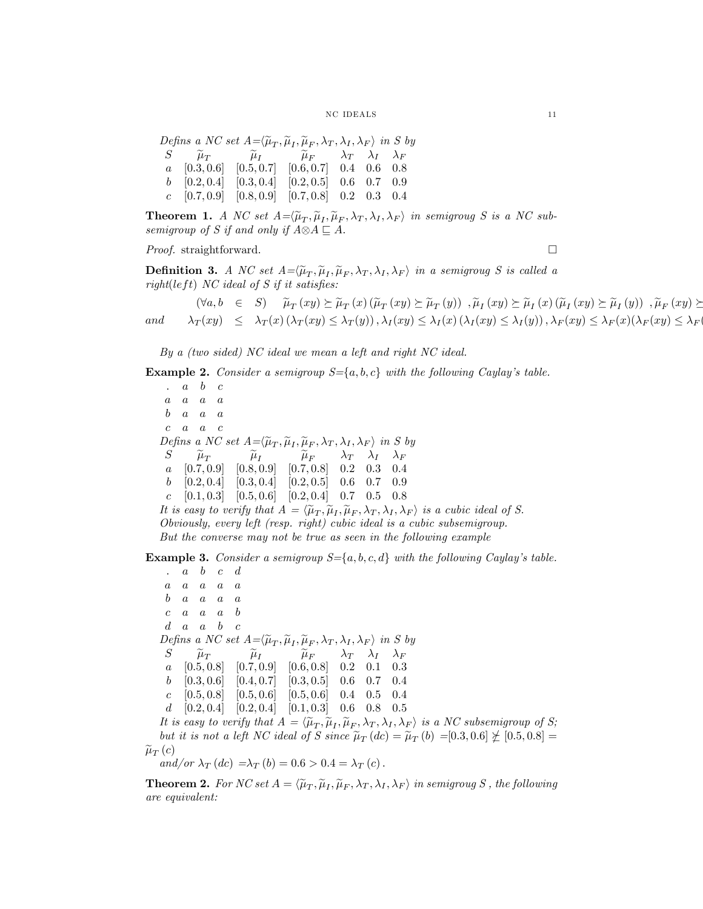|                           | Defins a NC set $A = \langle \widetilde{\mu}_T, \widetilde{\mu}_I, \widetilde{\mu}_F, \lambda_T, \lambda_I, \lambda_F \rangle$ in S by      |                          |  |  |
|---------------------------|---------------------------------------------------------------------------------------------------------------------------------------------|--------------------------|--|--|
|                           | $S \qquad \widetilde{\mu}_T \qquad \quad \widetilde{\mu}_I \qquad \quad \widetilde{\mu}_F \qquad \lambda_T \quad \lambda_I \quad \lambda_F$ |                          |  |  |
| $a \quad [0.3, 0.6]$      | [0.5, 0.7]                                                                                                                                  | $[0.6, 0.7]$ 0.4 0.6 0.8 |  |  |
| $b$ [0.2, 0.4] [0.3, 0.4] |                                                                                                                                             | $[0.2, 0.5]$ 0.6 0.7 0.9 |  |  |
|                           | $c$ [0.7, 0.9] [0.8, 0.9] [0.7, 0.8] 0.2 0.3 0.4                                                                                            |                          |  |  |

**Theorem 1.** A NC set  $A = \langle \tilde{\mu}_T, \tilde{\mu}_I, \tilde{\mu}_F, \lambda_T, \lambda_I, \lambda_F \rangle$  in semigroug S is a NC subsemigroup of S if and only if  $A \otimes A \sqsubseteq A$ .

*Proof.* straightforward. □

**Definition 3.** A NC set  $A = \langle \tilde{\mu}_T, \tilde{\mu}_I, \tilde{\mu}_F, \lambda_T, \lambda_I, \lambda_F \rangle$  in a semigroug S is called a sightly fit in a set of  $\mu$  is  $\tilde{\mu}_I$ . right(left) NC ideal of S if it satisfies:

 $(\forall a, b \in S)$   $\widetilde{\mu}_T(xy) \succeq \widetilde{\mu}_T(x) (\widetilde{\mu}_T(xy) \succeq \widetilde{\mu}_T(y))$ ,  $\widetilde{\mu}_I(xy) \succeq \widetilde{\mu}_I(x) (\widetilde{\mu}_I(xy) \succeq \widetilde{\mu}_I(y))$ ,  $\widetilde{\mu}_F(xy) \succeq \widetilde{\mu}_I(y)$ and  $\lambda_T (xy) \leq \lambda_T (x) (\lambda_T (xy) \leq \lambda_T (y)), \lambda_I (xy) \leq \lambda_I (x) (\lambda_I (xy) \leq \lambda_I (y)), \lambda_F (xy) \leq \lambda_F (x) (\lambda_F (xy) \leq \lambda_F (y)),$ 

By a (two sided) NC ideal we mean a left and right NC ideal.

**Example 2.** Consider a semigroup  $S = \{a, b, c\}$  with the following Caylay's table.<br>  $\therefore$   $a \quad b \quad c$ 

 $\overline{a}$ a a a a  $b \quad a \quad a \quad a$  $c$   $a$   $a$   $c$ Defins a NC set  $A = \langle \widetilde{\mu}_T, \widetilde{\mu}_I, \widetilde{\mu}_F, \lambda_T, \lambda_I, \lambda_F \rangle$  in S by  $S = \begin{bmatrix} \widetilde{\mu}_T & \widetilde{\mu}_I & \widetilde{\mu}_F & \lambda_T & \lambda_I & \lambda_F \\ a & [0.7, 0.9] & [0.8, 0.9] & [0.7, 0.8] & 0.2 & 0.3 & 0.4 \end{bmatrix}$  $[0.7, 0.8]$   $0.2$   $0.3$   $0.4$  $b \quad [0.2, 0.4] \quad [0.3, 0.4] \quad [0.2, 0.5] \quad 0.6 \quad 0.7 \quad 0.9$  $c \quad [0.1, 0.3] \quad [0.5, 0.6] \quad [0.2, 0.4] \quad 0.7 \quad 0.5 \quad 0.8$ It is easy to verify that  $A = \langle \tilde{\mu}_T, \tilde{\mu}_I, \tilde{\mu}_F, \lambda_T, \lambda_I, \lambda_F \rangle$  is a cubic ideal of S.<br>Christian commutation with problem in the continuum Obviously, every left (resp. right) cubic ideal is a cubic subsemigroup.

But the converse may not be true as seen in the following example

**Example 3.** Consider a semigroup  $S = \{a, b, c, d\}$  with the following Caylay's table.<br>  $\begin{bmatrix} a & b & c & d \end{bmatrix}$ 

 $\mathfrak{b}$  $a \quad a \quad a \quad a$  $b \quad a \quad a \quad a$  $c \quad a \quad a \quad a \quad b$  $d \ a \ a \ b \ c$ Defins a NC set  $A = \langle \widetilde{\mu}_T, \widetilde{\mu}_I, \widetilde{\mu}_F, \lambda_T, \lambda_I, \lambda_F \rangle$  in S by  $\begin{array}{ccc} S & \widetilde{\mu}_T & \widetilde{\mu}_I & \widetilde{\mu}_F & \lambda_T & \lambda_I & \lambda_F \ a & [0.5, 0.8] & [0.7, 0.9] & [0.6, 0.8] & 0.2 & 0.1 & 0.3 \end{array}$  $0.2\quad 0.1\quad 0.3$  $b \quad [0.3, 0.6] \quad [0.4, 0.7] \quad [0.3, 0.5] \quad 0.6 \quad 0.7 \quad 0.4$  $c \quad [0.5, 0.8] \quad [0.5, 0.6] \quad [0.5, 0.6] \quad 0.4 \quad 0.5 \quad 0.4$  $d \quad [0.2, 0.4] \quad [0.2, 0.4] \quad [0.1, 0.3] \quad 0.6 \quad 0.8 \quad 0.5$ 

It is easy to verify that  $A = \langle \tilde{\mu}_T, \tilde{\mu}_I, \tilde{\mu}_F, \lambda_T, \lambda_I, \lambda_F \rangle$  is a NC subsemigroup of S;<br>but it is not a left NG ideal of S since  $\tilde{\alpha}$  (d)  $\tilde{\alpha}$  (h) [0.2.0.6]  $\sqrt{[0.5, 0.8]}$ but it is not a left NC ideal of S since  $\tilde{\mu}_T (dc) = \tilde{\mu}_T (b) = [0.3, 0.6] \not\leq [0.5, 0.8] =$  $\widetilde{\mu}_T\left(c\right)$ 

and/or  $\lambda_T (dc) = \lambda_T (b) = 0.6 > 0.4 = \lambda_T (c)$ .

**Theorem 2.** For NC set  $A = \langle \tilde{\mu}_T, \tilde{\mu}_I, \tilde{\mu}_F, \lambda_T, \lambda_I, \lambda_F \rangle$  in semigroug S, the following are equivalent: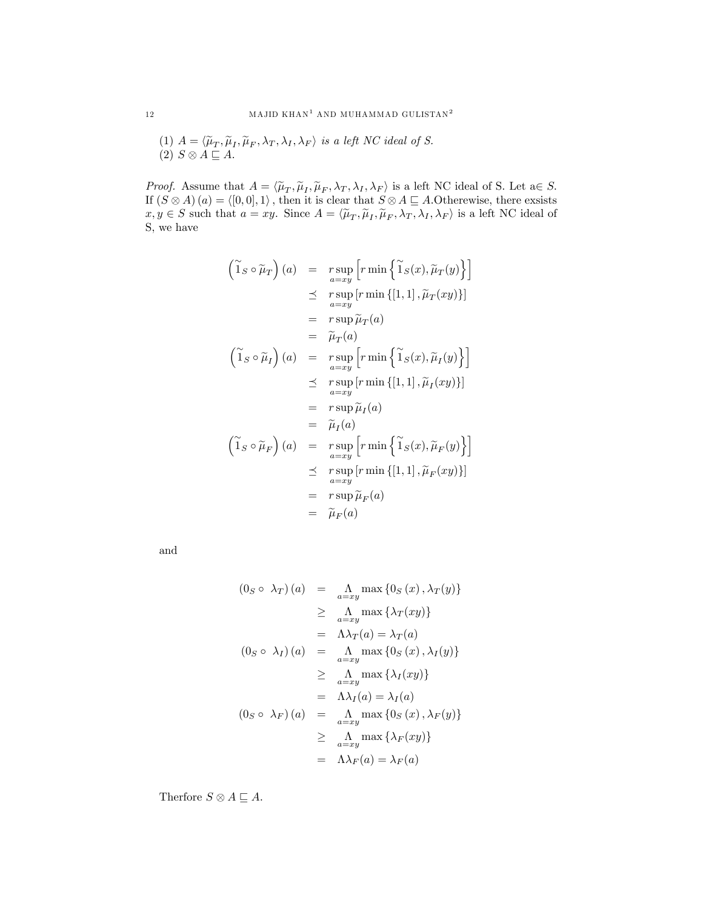$(1)$   $A = \langle \widetilde{\mu}_T, \widetilde{\mu}_F, \widetilde{\mu}_F, \lambda_T, \lambda_I, \lambda_F \rangle$  is a left NC ideal of S.<br>(2)  $S \cong A \sqsubset A$  $(2)$   $S \otimes A \sqsubseteq A$ .

*Proof.* Assume that  $A = \langle \tilde{\mu}_T, \tilde{\mu}_I, \tilde{\mu}_F, \lambda_T, \lambda_I, \lambda_F \rangle$  is a left NC ideal of S. Let  $a \in S$ . If  $(S \otimes A)(a) = \langle [0, 0], 1 \rangle$ , then it is clear that  $S \otimes A \sqsubseteq A$ . Otherewise, there exsists  $x, y \in S$  such that  $a = xy$ . Since  $A = \langle \tilde{\mu}_T, \tilde{\mu}_I, \tilde{\mu}_F, \lambda_T, \lambda_I, \lambda_F \rangle$  is a left NC ideal of S, we have

$$
\begin{array}{rcl}\n\left(\tilde{1}_S \circ \tilde{\mu}_T\right)(a) & = & r \sup_{a=xy} \left[r \min\left\{\tilde{1}_S(x), \tilde{\mu}_T(y)\right\}\right] \\
& \leq & r \sup_{a=xy} \left[r \min\left\{[1,1], \tilde{\mu}_T(xy)\right\}\right] \\
& = & r \sup_{a=xy} \tilde{\mu}_T(a) \\
& \left(\tilde{1}_S \circ \tilde{\mu}_I\right)(a) & = & r \sup_{a=xy} \left[r \min\left\{\tilde{1}_S(x), \tilde{\mu}_I(y)\right\}\right] \\
& \leq & r \sup_{a=xy} \left[r \min\left\{[1,1], \tilde{\mu}_I(xy)\right\}\right] \\
& = & r \sup_{a=xy} \tilde{\mu}_I(a) \\
& \left(\tilde{1}_S \circ \tilde{\mu}_F\right)(a) & = & r \sup_{a=xy} \left[r \min\left\{\tilde{1}_S(x), \tilde{\mu}_F(y)\right\}\right] \\
& \leq & r \sup_{a=xy} \left[r \min\left\{[1,1], \tilde{\mu}_F(xy)\right\}\right] \\
& \leq & r \sup_{a=xy} \left[r \min\left\{[1,1], \tilde{\mu}_F(xy)\right\}\right] \\
& = & r \sup_{a=xy} \tilde{\mu}_F(a) \\
& = & \tilde{\mu}_F(a)\n\end{array}
$$

and

$$
(0_S \circ \lambda_T) (a) = \Lambda_{a=xy} \max \{ 0_S(x), \lambda_T(y) \}
$$
  
\n
$$
\geq \Lambda_{a=xy} \max \{ \lambda_T(xy) \}
$$
  
\n
$$
= \Lambda \lambda_T(a) = \lambda_T(a)
$$
  
\n
$$
(0_S \circ \lambda_I) (a) = \Lambda_{a=xy} \max \{ 0_S(x), \lambda_I(y) \}
$$
  
\n
$$
\geq \Lambda_{a=xy} \max \{ \lambda_I(xy) \}
$$
  
\n
$$
= \Lambda \lambda_I(a) = \lambda_I(a)
$$
  
\n
$$
(0_S \circ \lambda_F) (a) = \Lambda_{a=xy} \max \{ 0_S(x), \lambda_F(y) \}
$$
  
\n
$$
\geq \Lambda_{a=xy} \max \{ \lambda_F(xy) \}
$$
  
\n
$$
= \Lambda \lambda_F(a) = \lambda_F(a)
$$

Therfore  $S \otimes A \sqsubseteq A$ .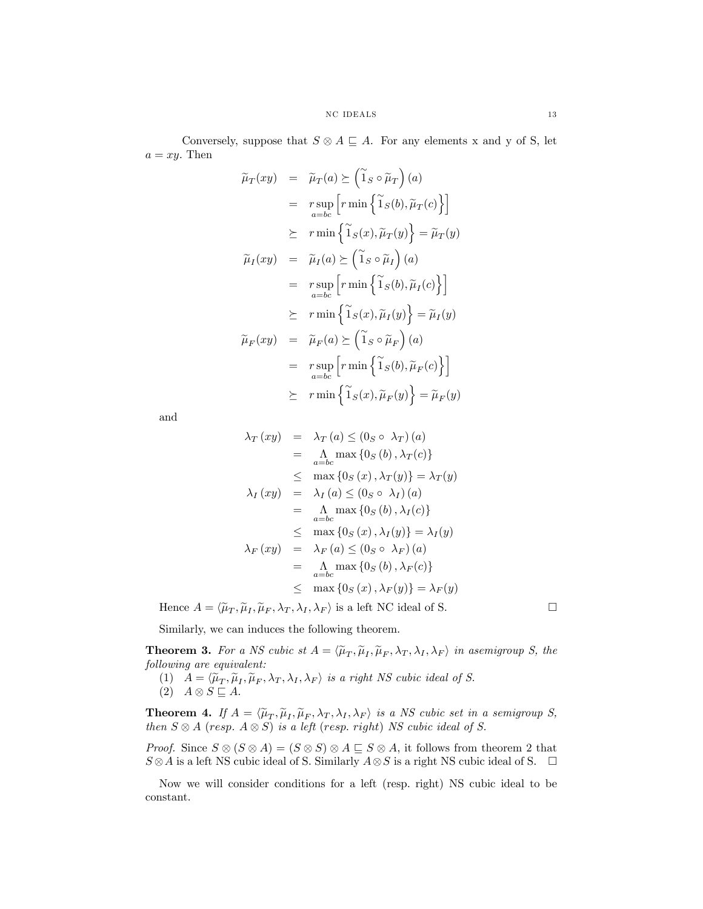Conversely, suppose that  $S \otimes A \sqsubseteq A$ . For any elements x and y of S, let  $a = xy$ . Then

$$
\widetilde{\mu}_T(xy) = \widetilde{\mu}_T(a) \succeq (\widetilde{1}_S \circ \widetilde{\mu}_T) (a)
$$
\n
$$
= r \sup_{a=bc} \left[ r \min \{ \widetilde{1}_S(b), \widetilde{\mu}_T(c) \} \right]
$$
\n
$$
\succeq r \min \{ \widetilde{1}_S(x), \widetilde{\mu}_T(y) \} = \widetilde{\mu}_T(y)
$$
\n
$$
\widetilde{\mu}_I(xy) = \widetilde{\mu}_I(a) \succeq (\widetilde{1}_S \circ \widetilde{\mu}_I) (a)
$$
\n
$$
= r \sup_{a=bc} \left[ r \min \{ \widetilde{1}_S(b), \widetilde{\mu}_I(c) \} \right]
$$
\n
$$
\succeq r \min \{ \widetilde{1}_S(x), \widetilde{\mu}_I(y) \} = \widetilde{\mu}_I(y)
$$
\n
$$
\widetilde{\mu}_F(xy) = \widetilde{\mu}_F(a) \succeq (\widetilde{1}_S \circ \widetilde{\mu}_F) (a)
$$
\n
$$
= r \sup_{a=bc} \left[ r \min \{ \widetilde{1}_S(b), \widetilde{\mu}_F(c) \} \right]
$$
\n
$$
\succeq r \min \{ \widetilde{1}_S(x), \widetilde{\mu}_F(y) \} = \widetilde{\mu}_F(y)
$$

and

$$
\lambda_T(xy) = \lambda_T(a) \le (0_S \circ \lambda_T)(a)
$$
  
\n
$$
= \Lambda \max\{0_S(b), \lambda_T(c)\}
$$
  
\n
$$
\le \max\{0_S(x), \lambda_T(y)\} = \lambda_T(y)
$$
  
\n
$$
\lambda_I(xy) = \lambda_I(a) \le (0_S \circ \lambda_I)(a)
$$
  
\n
$$
= \Lambda \max\{0_S(b), \lambda_I(c)\}
$$
  
\n
$$
\le \max\{0_S(x), \lambda_I(y)\} = \lambda_I(y)
$$
  
\n
$$
\lambda_F(xy) = \lambda_F(a) \le (0_S \circ \lambda_F)(a)
$$
  
\n
$$
= \Lambda \max\{0_S(b), \lambda_F(c)\}
$$
  
\n
$$
\le \max\{0_S(x), \lambda_F(y)\} = \lambda_F(y)
$$

Hence  $A = \langle \tilde{\mu}_T, \tilde{\mu}_I, \tilde{\mu}_F, \lambda_T, \lambda_I, \lambda_F \rangle$  is a left NC ideal of S.

Similarly, we can induces the following theorem.

**Theorem 3.** For a NS cubic st  $A = \langle \tilde{\mu}_T, \tilde{\mu}_I, \tilde{\mu}_F, \lambda_T, \lambda_I, \lambda_F \rangle$  in asemigroup S, the following are equivalent:

(1)  $A = \langle \tilde{\mu}_T, \tilde{\mu}_I, \tilde{\mu}_F, \lambda_T, \lambda_I, \lambda_F \rangle$  is a right NS cubic ideal of S.  $(2)$   $A \otimes S \sqsubseteq A$ .

**Theorem 4.** If  $A = \langle \widetilde{\mu}_T, \widetilde{\mu}_I, \widetilde{\mu}_F, \lambda_T, \lambda_I, \lambda_F \rangle$  is a NS cubic set in a semigroup S, then  $S \otimes A$  (resp.  $A \otimes S$ ) is a left (resp. right) NS cubic ideal of S.

*Proof.* Since  $S \otimes (S \otimes A) = (S \otimes S) \otimes A \sqsubseteq S \otimes A$ , it follows from theorem 2 that  $S \otimes A$  is a left NS cubic ideal of S. Similarly  $A \otimes S$  is a right NS cubic ideal of S.  $\Box$ 

Now we will consider conditions for a left (resp. right) NS cubic ideal to be constant.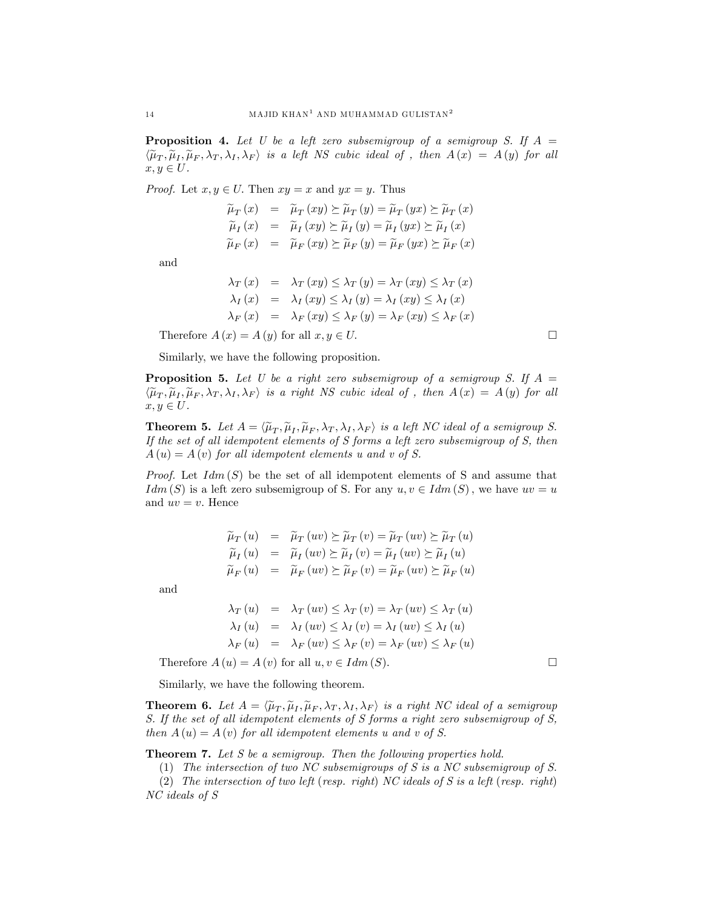**Proposition 4.** Let U be a left zero subsemigroup of a semigroup S. If  $A =$  $\langle \widetilde{\mu}_T, \widetilde{\mu}_I, \widetilde{\mu}_F, \lambda_T, \lambda_I, \lambda_F \rangle$  is a left NS cubic ideal of, then  $A(x) = A(y)$  for all  $x, y \in U$ .

*Proof.* Let  $x, y \in U$ . Then  $xy = x$  and  $yx = y$ . Thus

$$
\widetilde{\mu}_T(x) = \widetilde{\mu}_T(xy) \succeq \widetilde{\mu}_T(y) = \widetilde{\mu}_T(yx) \succeq \widetilde{\mu}_T(x) \n\widetilde{\mu}_I(x) = \widetilde{\mu}_I(xy) \succeq \widetilde{\mu}_I(y) = \widetilde{\mu}_I(yx) \succeq \widetilde{\mu}_I(x) \n\widetilde{\mu}_F(x) = \widetilde{\mu}_F(xy) \succeq \widetilde{\mu}_F(y) = \widetilde{\mu}_F(yx) \succeq \widetilde{\mu}_F(x)
$$

and

$$
\lambda_T(x) = \lambda_T(xy) \le \lambda_T(y) = \lambda_T(xy) \le \lambda_T(x)
$$
  
\n
$$
\lambda_I(x) = \lambda_I(xy) \le \lambda_I(y) = \lambda_I(xy) \le \lambda_I(x)
$$
  
\n
$$
\lambda_F(x) = \lambda_F(xy) \le \lambda_F(y) = \lambda_F(xy) \le \lambda_F(x)
$$

Therefore  $A(x) = A(y)$  for all  $x, y \in U$ .

Similarly, we have the following proposition.

**Proposition 5.** Let U be a right zero subsemigroup of a semigroup S. If  $A =$  $\langle \widetilde{\mu}_T, \widetilde{\mu}_I, \widetilde{\mu}_F, \lambda_T, \lambda_I, \lambda_F \rangle$  is a right NS cubic ideal of, then  $A(x) = A(y)$  for all  $x, y \in U$ .

**Theorem 5.** Let  $A = \langle \widetilde{\mu}_T, \widetilde{\mu}_I, \widetilde{\mu}_F, \lambda_T, \lambda_I, \lambda_F \rangle$  is a left NC ideal of a semigroup S. If the set of all idempotent elements of S forms a left zero subsemigroup of S, then  $A(u) = A(v)$  for all idempotent elements u and v of S.

*Proof.* Let  $Idm(S)$  be the set of all idempotent elements of S and assume that  $Idm(S)$  is a left zero subsemigroup of S. For any  $u, v \in Idm(S)$ , we have  $uv = u$ and  $uv = v$ . Hence

$$
\widetilde{\mu}_T(u) = \widetilde{\mu}_T(uv) \succeq \widetilde{\mu}_T(v) = \widetilde{\mu}_T(uv) \succeq \widetilde{\mu}_T(u)
$$
\n
$$
\widetilde{\mu}_T(u) = \widetilde{\mu}_T(uv) \succeq \widetilde{\mu}_T(v) = \widetilde{\mu}_T(uv) \succeq \widetilde{\mu}_T(u)
$$
\n
$$
\widetilde{\mu}_F(u) = \widetilde{\mu}_F(uv) \succeq \widetilde{\mu}_F(v) = \widetilde{\mu}_F(uv) \succeq \widetilde{\mu}_F(u)
$$

and

$$
\lambda_T(u) = \lambda_T(uv) \leq \lambda_T(v) = \lambda_T(uv) \leq \lambda_T(u)
$$
  
\n
$$
\lambda_I(u) = \lambda_I(uv) \leq \lambda_I(v) = \lambda_I(uv) \leq \lambda_I(u)
$$
  
\n
$$
\lambda_F(u) = \lambda_F(uv) \leq \lambda_F(v) = \lambda_F(uv) \leq \lambda_F(u)
$$

Therefore  $A(u) = A(v)$  for all  $u, v \in \text{Idm}(S)$ .

Similarly, we have the following theorem.

**Theorem 6.** Let  $A = \langle \tilde{\mu}_T, \tilde{\mu}_I, \tilde{\mu}_F, \lambda_T, \lambda_I, \lambda_F \rangle$  is a right NC ideal of a semigroup S. If the set of all idempotent elements of S forms a right zero subsemigroup of S, then  $A(u) = A(v)$  for all idempotent elements u and v of S.

**Theorem 7.** Let S be a semigroup. Then the following properties hold.

(1) The intersection of two NC subsemigroups of S is a NC subsemigroup of S.

(2) The intersection of two left (resp. right) NC ideals of S is a left (resp. right) NC ideals of S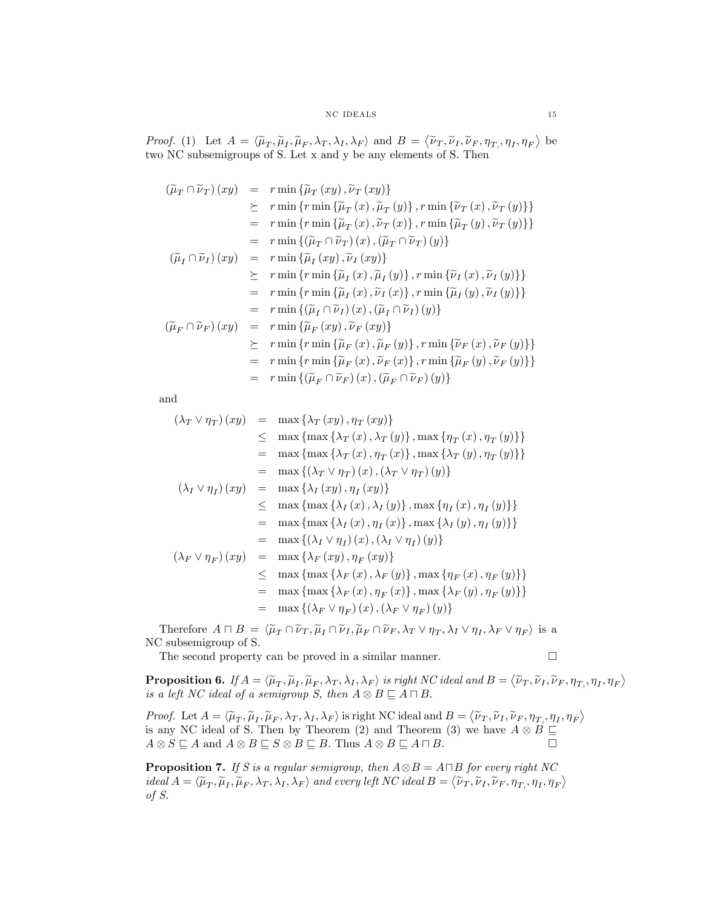Proof. (1) Let  $A = \langle \tilde{\mu}_T, \tilde{\mu}_I, \tilde{\mu}_F, \lambda_T, \lambda_F \rangle$  and  $B = \langle \tilde{\nu}_T, \tilde{\nu}_I, \tilde{\nu}_F, \eta_T, \eta_I, \eta_F \rangle$  be two NC subsemigroups of S. Let x and y be any elements of S. Then

$$
(\widetilde{\mu}_{T} \cap \widetilde{\nu}_{T})(xy) = r \min \{ \widetilde{\mu}_{T}(xy), \widetilde{\nu}_{T}(xy) \}
$$
  
\n
$$
\geq r \min \{ r \min \{ \widetilde{\mu}_{T}(x), \widetilde{\mu}_{T}(y) \}, r \min \{ \widetilde{\nu}_{T}(x), \widetilde{\nu}_{T}(y) \} \}
$$
  
\n
$$
= r \min \{ r \min \{ \widetilde{\mu}_{T}(x), \widetilde{\nu}_{T}(x) \}, r \min \{ \widetilde{\mu}_{T}(y), \widetilde{\nu}_{T}(y) \} \}
$$
  
\n
$$
= r \min \{ (\widetilde{\mu}_{T} \cap \widetilde{\nu}_{T})(x), (\widetilde{\mu}_{T} \cap \widetilde{\nu}_{T})(y) \}
$$
  
\n
$$
(\widetilde{\mu}_{I} \cap \widetilde{\nu}_{I})(xy) = r \min \{ \widetilde{\mu}_{I}(xy), \widetilde{\nu}_{I}(xy) \}
$$
  
\n
$$
\geq r \min \{ r \min \{ \widetilde{\mu}_{I}(x), \widetilde{\mu}_{I}(y) \}, r \min \{ \widetilde{\nu}_{I}(x), \widetilde{\nu}_{I}(y) \} \}
$$
  
\n
$$
= r \min \{ r \min \{ \widetilde{\mu}_{I}(x), \widetilde{\nu}_{I}(x) \}, r \min \{ \widetilde{\mu}_{I}(y), \widetilde{\nu}_{I}(y) \} \}
$$
  
\n
$$
= r \min \{ (\widetilde{\mu}_{I} \cap \widetilde{\nu}_{I})(x), (\widetilde{\mu}_{I} \cap \widetilde{\nu}_{I})(y) \}
$$
  
\n
$$
= r \min \{ \widetilde{\mu}_{F}(xy), \widetilde{\nu}_{F}(xy) \}
$$
  
\n
$$
= r \min \{ r \min \{ \widetilde{\mu}_{F}(x), \widetilde{\mu}_{F}(y) \}, r \min \{ \widetilde{\nu}_{F}(x), \widetilde{\nu}_{F}(y) \} \}
$$
  
\n
$$
= r \min \{ r \min \{ \widetilde{\mu}_{F}(x), \widetilde{\nu}_{F}(x) \}, r \min \{ \widetilde{\mu}_{F}(y), \widetilde{\nu}_{F}(y) \} \}
$$
  
\n
$$
= r
$$

and

$$
(\lambda_T \vee \eta_T)(xy) = \max{\lambda_T(xy), \eta_T(xy)}
$$
  
\n
$$
\leq \max{\max{\lambda_T(x), \lambda_T(y)}, \max{\eta_T(x), \eta_T(y)} }
$$
  
\n
$$
= \max{\max{\lambda_T(x), \eta_T(x)}, \max{\lambda_T(y), \eta_T(y)} }
$$
  
\n
$$
= \max{\{\lambda_T(\vartheta), (\lambda_T \vee \eta_T)(y)\}}
$$
  
\n
$$
(\lambda_I \vee \eta_I)(xy) = \max{\lambda_I(xy), \eta_I(xy)} \}
$$
  
\n
$$
\leq \max{\max{\lambda_I(x), \lambda_I(y)}, \max{\eta_I(x), \eta_I(y)} }
$$
  
\n
$$
= \max{\max{\lambda_I(x), \lambda_I(y)}, \max{\lambda_I(y), \eta_I(y)} }
$$
  
\n
$$
= \max{\max{\lambda_I(x), \eta_I(x)}, \max{\lambda_I(y), \eta_I(y)} }
$$
  
\n
$$
(\lambda_F \vee \eta_F)(xy) = \max{\lambda_F(xy), \eta_F(xy)} \}
$$
  
\n
$$
\leq \max{\max{\lambda_F(x), \lambda_F(y)}, \max{\eta_F(x), \eta_F(y)} }
$$
  
\n
$$
= \max{\max{\lambda_F(x), \eta_F(y)}, \max{\lambda_F(y), \eta_F(y)} }
$$
  
\n
$$
= \max{\{\lambda_F(x), \eta_F(x), \max{\lambda_F(y), \eta_F(y)} \}}
$$

Therefore  $A \sqcap B = \langle \tilde{\mu}_T \cap \tilde{\nu}_T, \tilde{\mu}_I \cap \tilde{\nu}_I, \tilde{\mu}_F \cap \tilde{\nu}_F, \lambda_T \vee \eta_T, \lambda_I \vee \eta_I, \lambda_F \vee \eta_F \rangle$  is a NC subsemigroup of S.

The second property can be proved in a similar manner.  $\Box$ 

**Proposition 6.** If  $A = \langle \widetilde{\mu}_T, \widetilde{\mu}_F, \lambda_T, \lambda_I, \lambda_F \rangle$  is right NC ideal and  $B = \langle \widetilde{\nu}_T, \widetilde{\nu}_I, \widetilde{\nu}_F, \eta_T, \eta_I, \eta_F \rangle$ is a left NC ideal of a semigroup S, then  $A \otimes B \sqsubseteq A \sqcap B$ .

*Proof.* Let  $A = \langle \tilde{\mu}_T, \tilde{\mu}_I, \tilde{\mu}_F, \lambda_T, \lambda_I, \lambda_F \rangle$  is right NC ideal and  $B = \langle \tilde{\nu}_T, \tilde{\nu}_I, \tilde{\nu}_F, \eta_T, \eta_I, \eta_F \rangle$ is any NC ideal of S. Then by Theorem (2) and Theorem (3) we have  $A \otimes B \sqsubseteq$  $A \otimes S \sqsubseteq A$  and  $A \otimes B \sqsubseteq S \otimes B \sqsubseteq B$ . Thus  $A \otimes B \sqsubseteq A \sqcap B$ .

**Proposition 7.** If S is a regular semigroup, then  $A \otimes B = A \cap B$  for every right NC  $ideal\ A = \langle \tilde{\mu}_T, \tilde{\mu}_I, \tilde{\mu}_F, \lambda_T, \lambda_I, \lambda_F \rangle$  and every left NC ideal  $B = \langle \tilde{\nu}_T, \tilde{\nu}_I, \tilde{\nu}_F, \eta_T, \eta_I, \eta_F \rangle$ of S.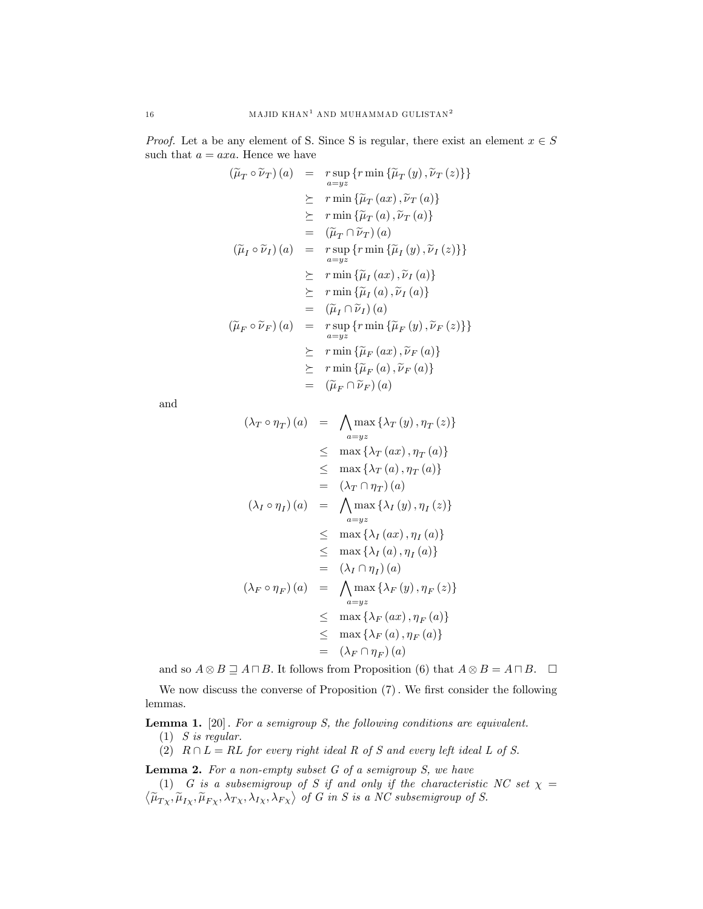*Proof.* Let a be any element of S. Since S is regular, there exist an element  $x \in S$ such that  $a = axa$ . Hence we have

$$
(\widetilde{\mu}_T \circ \widetilde{\nu}_T) (a) = r \sup_{a=yz} \{ r \min \{ \widetilde{\mu}_T(y), \widetilde{\nu}_T(z) \} \}
$$
  
\n
$$
\geq r \min \{ \widetilde{\mu}_T(a x), \widetilde{\nu}_T(a) \}
$$
  
\n
$$
\geq r \min \{ \widetilde{\mu}_T(a), \widetilde{\nu}_T(a) \}
$$
  
\n
$$
= (\widetilde{\mu}_T \cap \widetilde{\nu}_T) (a)
$$
  
\n
$$
(\widetilde{\mu}_I \circ \widetilde{\nu}_I) (a) = r \sup_{a=yz} \{ r \min \{ \widetilde{\mu}_I(y), \widetilde{\nu}_I(z) \} \}
$$
  
\n
$$
\geq r \min \{ \widetilde{\mu}_I(a x), \widetilde{\nu}_I(a) \}
$$
  
\n
$$
\geq r \min \{ \widetilde{\mu}_I(a), \widetilde{\nu}_I(a) \}
$$
  
\n
$$
= (\widetilde{\mu}_I \cap \widetilde{\nu}_I) (a)
$$
  
\n
$$
(\widetilde{\mu}_F \circ \widetilde{\nu}_F) (a) = r \sup_{a=yz} \{ r \min \{ \widetilde{\mu}_F(y), \widetilde{\nu}_F(z) \} \}
$$
  
\n
$$
\geq r \min \{ \widetilde{\mu}_F(a x), \widetilde{\nu}_F(a) \}
$$
  
\n
$$
\geq r \min \{ \widetilde{\mu}_F(a), \widetilde{\nu}_F(a) \}
$$
  
\n
$$
= (\widetilde{\mu}_F \cap \widetilde{\nu}_F) (a)
$$

and

$$
(\lambda_T \circ \eta_T) (a) = \bigwedge_{a=yz} \max \{ \lambda_T (y), \eta_T (z) \}
$$
  
\n
$$
\leq \max \{ \lambda_T (ax), \eta_T (a) \}
$$
  
\n
$$
\leq \max \{ \lambda_T (a), \eta_T (a) \}
$$
  
\n
$$
= (\lambda_T \cap \eta_T) (a)
$$
  
\n
$$
(\lambda_I \circ \eta_I) (a) = \bigwedge_{a=yz} \max \{ \lambda_I (y), \eta_I (z) \}
$$
  
\n
$$
\leq \max \{ \lambda_I (ax), \eta_I (a) \}
$$
  
\n
$$
\leq \max \{ \lambda_I (a), \eta_I (a) \}
$$
  
\n
$$
= (\lambda_I \cap \eta_I) (a)
$$
  
\n
$$
(\lambda_F \circ \eta_F) (a) = \bigwedge_{a=yz} \max \{ \lambda_F (y), \eta_F (z) \}
$$
  
\n
$$
\leq \max \{ \lambda_F (ax), \eta_F (a) \}
$$
  
\n
$$
\leq \max \{ \lambda_F (a), \eta_F (a) \}
$$
  
\n
$$
= (\lambda_F \cap \eta_F) (a)
$$

and so  $A \otimes B \sqsupseteq A \sqcap B$ . It follows from Proposition (6) that  $A \otimes B = A \sqcap B$ .  $\Box$ 

We now discuss the converse of Proposition  $(7)$ . We first consider the following lemmas.

**Lemma 1.** [20]  $\Box$  For a semigroup S, the following conditions are equivalent.

 $(1)$  *S* is regular.

(2)  $R \cap L = RL$  for every right ideal R of S and every left ideal L of S.

**Lemma 2.** For a non-empty subset  $G$  of a semigroup  $S$ , we have

(1) *G* is a subsemigroup of *S* if and only if the characteristic NC set  $\chi = \langle \tilde{\mu}_{T_X}, \tilde{\mu}_{I_X}, \tilde{\mu}_{F_X}, \lambda_{T_X}, \lambda_{I_X}, \lambda_{F_X} \rangle$  of *G* in *S* is a NC subsemigroup of *S*.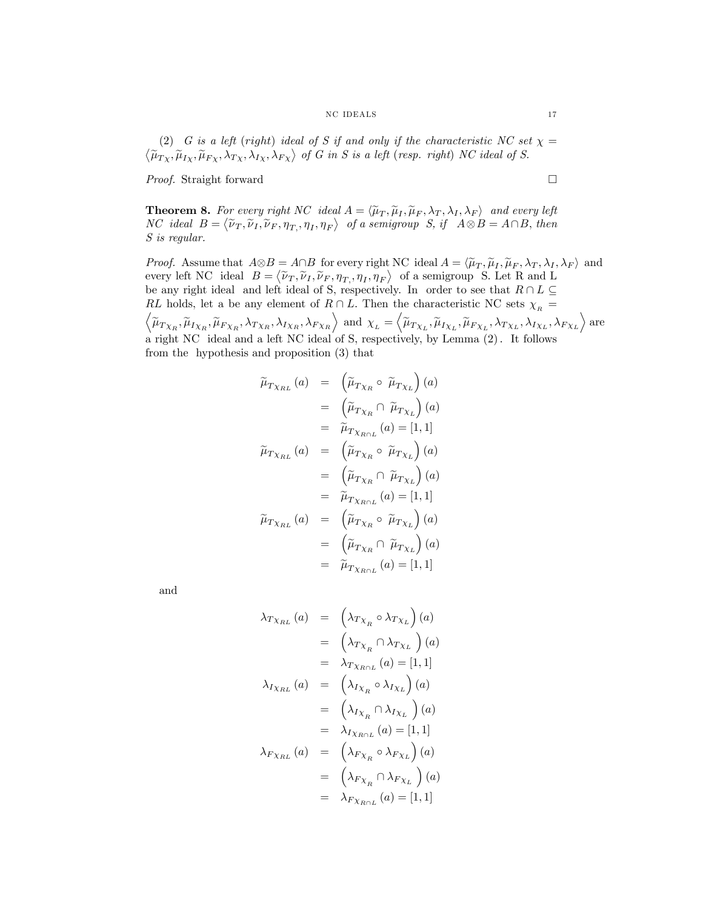(2) G is a left (right) ideal of S if and only if the characteristic NC set  $\chi = \langle \tilde{\mu}_{T_X}, \tilde{\mu}_{I_X}, \tilde{\mu}_{F_X}, \lambda_{T_X}, \lambda_{I_X}, \lambda_{F_X} \rangle$  of G in S is a left (resp. right) NC ideal of S.

*Proof.* Straight forward □

**Theorem 8.** For every right NC ideal  $A = \langle \widetilde{\mu}_T, \widetilde{\mu}_I, \widetilde{\mu}_F, \lambda_T, \lambda_I, \lambda_F \rangle$  and every left  $\overline{MS} \leq \widetilde{\epsilon} \leq \widetilde{\epsilon}$ NC ideal  $B = \langle \tilde{\nu}_T, \tilde{\nu}_I, \tilde{\nu}_F, \eta_T, \eta_I, \eta_F \rangle$  of a semigroup S, if  $A \otimes B = A \cap B$ , then S is regular.

*Proof.* Assume that  $A \otimes B = A \cap B$  for every right NC ideal  $A = \langle \widetilde{\mu}_I, \widetilde{\mu}_I, \widetilde{\mu}_I, \lambda_I, \lambda_I, \lambda_F \rangle$  and every left NC ideal  $B = \langle \tilde{\nu}_T, \tilde{\nu}_I, \tilde{\nu}_F, \eta_T, \eta_I, \eta_F \rangle$  of a semigroup S. Let R and L be any right ideal and left ideal of S, respectively. In order to see that  $R \cap L \subseteq$ RL holds, let a be any element of  $R \cap L$ . Then the characteristic NC sets  $\chi_{R}$  =  $\left\langle \widetilde{\mu}_{T\chi_{R}},\widetilde{\mu}_{F\chi_{R}},\lambda_{T\chi_{R}},\lambda_{I\chi_{R}},\lambda_{F\chi_{R}}\right\rangle$  and  $\left\langle \chi_{L}=\left\langle \widetilde{\mu}_{T\chi_{L}},\widetilde{\mu}_{I\chi_{L}},\widetilde{\mu}_{F\chi_{L}},\lambda_{T\chi_{L}},\lambda_{I\chi_{L}},\lambda_{F\chi_{L}}\right\rangle$  are

a right NC ideal and a left NC ideal of S, respectively, by Lemma (2): It follows from the hypothesis and proposition (3) that

$$
\widetilde{\mu}_{T\chi_{RL}}(a) = (\widetilde{\mu}_{T\chi_R} \circ \widetilde{\mu}_{T\chi_L})(a)
$$
\n
$$
= (\widetilde{\mu}_{T\chi_R} \cap \widetilde{\mu}_{T\chi_L})(a)
$$
\n
$$
= \widetilde{\mu}_{T\chi_{R\cap L}}(a) = [1, 1]
$$
\n
$$
\widetilde{\mu}_{T\chi_{RL}}(a) = (\widetilde{\mu}_{T\chi_R} \circ \widetilde{\mu}_{T\chi_L})(a)
$$
\n
$$
= (\widetilde{\mu}_{T\chi_R} \cap \widetilde{\mu}_{T\chi_L})(a)
$$
\n
$$
= \widetilde{\mu}_{T\chi_{R\cap L}}(a) = [1, 1]
$$
\n
$$
\widetilde{\mu}_{T\chi_{RL}}(a) = (\widetilde{\mu}_{T\chi_R} \circ \widetilde{\mu}_{T\chi_L})(a)
$$
\n
$$
= (\widetilde{\mu}_{T\chi_R} \cap \widetilde{\mu}_{T\chi_L})(a)
$$
\n
$$
= \widetilde{\mu}_{T\chi_{R\cap L}}(a) = [1, 1]
$$

and

$$
\lambda_{T\chi_{RL}}(a) = \left(\lambda_{T\chi_R} \circ \lambda_{T\chi_L}\right)(a)
$$

$$
= \left(\lambda_{T\chi_R} \cap \lambda_{T\chi_L}\right)(a)
$$

$$
= \lambda_{T\chi_{R\cap L}}(a) = [1, 1]
$$

$$
\lambda_{I\chi_{RL}}(a) = \left(\lambda_{I\chi_R} \circ \lambda_{I\chi_L}\right)(a)
$$

$$
= \left(\lambda_{I\chi_R} \cap \lambda_{I\chi_L}\right)(a)
$$

$$
= \lambda_{I\chi_{R\cap L}}(a) = [1, 1]
$$

$$
\lambda_{F\chi_{RL}}(a) = \left(\lambda_{F\chi_R} \circ \lambda_{F\chi_L}\right)(a)
$$

$$
= \left(\lambda_{F\chi_R} \cap \lambda_{F\chi_L}\right)(a)
$$

$$
= \lambda_{F\chi_{R\cap L}}(a) = [1, 1]
$$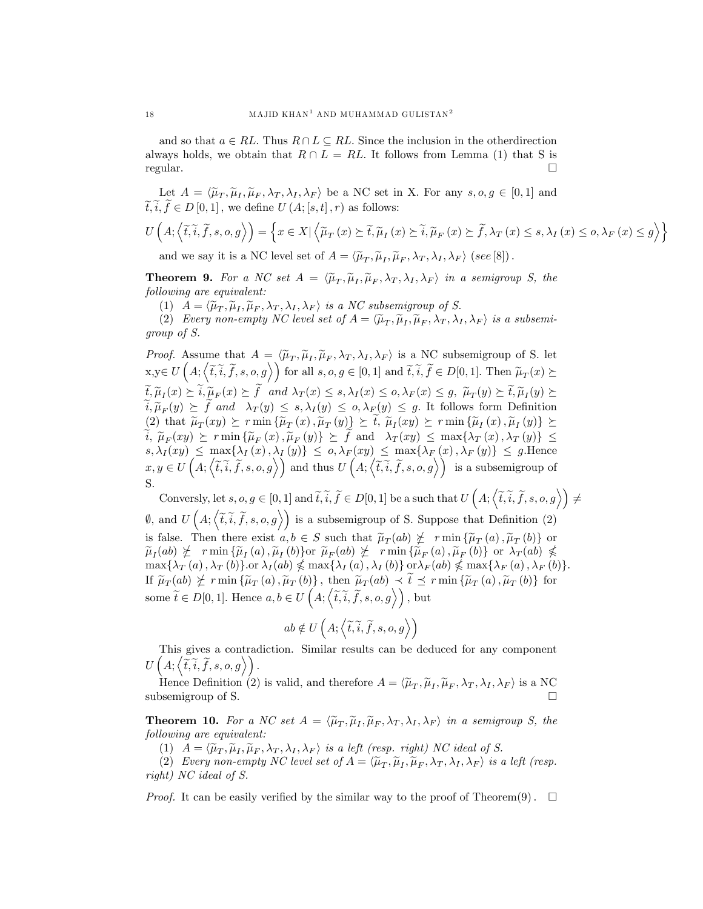and so that  $a \in RL$ . Thus  $R \cap L \subseteq RL$ . Since the inclusion in the otherdirection always holds, we obtain that  $R \cap L = RL$ . It follows from Lemma (1) that S is regular. regular.  $\Box$ 

Let  $A = \langle \tilde{\mu}_T, \tilde{\mu}_I, \tilde{\mu}_F, \lambda_T, \lambda_I, \lambda_F \rangle$  be a NC set in X. For any  $s, o, g \in [0, 1]$  and  $\widetilde{t}, \widetilde{i}, \widetilde{f} \in D[0, 1],$  we define  $U(A; [s, t], r)$  as follows:

$$
U\left(A; \left\langle \widetilde{t}, \widetilde{i}, \widetilde{f}, s, o, g \right\rangle \right) = \left\{ x \in X \, | \, \left\langle \widetilde{\mu}_T \left( x \right) \succeq \widetilde{t}, \widetilde{\mu}_I \left( x \right) \succeq \widetilde{i}, \widetilde{\mu}_F \left( x \right) \succeq \widetilde{f}, \lambda_T \left( x \right) \leq s, \lambda_I \left( x \right) \leq o, \lambda_F \left( x \right) \leq g \right\rangle \right\}
$$

and we say it is a NC level set of  $A = \langle \tilde{\mu}_T, \tilde{\mu}_I, \tilde{\mu}_F, \lambda_T, \lambda_I, \lambda_F \rangle$  (see [8]).

**Theorem 9.** For a NC set  $A = \langle \tilde{\mu}_T, \tilde{\mu}_I, \tilde{\mu}_F, \lambda_T, \lambda_I, \lambda_F \rangle$  in a semigroup S, the following are equivalent:

(1)  $A = \langle \tilde{\mu}_T, \tilde{\mu}_I, \tilde{\mu}_F, \lambda_T, \lambda_I, \lambda_F \rangle$  is a NC subsemigroup of S.

(2) Every non-empty NC level set of  $A = \langle \tilde{\mu}_T, \tilde{\mu}_I, \tilde{\mu}_F, \lambda_T, \lambda_I, \lambda_F \rangle$  is a subsemigroup of S.

*Proof.* Assume that  $A = \langle \tilde{\mu}_T, \tilde{\mu}_I, \tilde{\mu}_F, \lambda_T, \lambda_I, \lambda_F \rangle$  is a NC subsemigroup of S. let  $x,y \in U\left(A; \left\langle \tilde{t}, \tilde{i}, \tilde{f}, s, o, g \right\rangle\right)$  for all  $s, o, g \in [0,1]$  and  $\tilde{t}, \tilde{i}, \tilde{f} \in D[0,1]$ . Then  $\tilde{\mu}_T(x) \succeq$  $\widetilde{\mu}_I(x) \geq i, \widetilde{\mu}_F(x) \geq f \text{ and } \lambda_T(x) \leq s, \lambda_I(x) \leq o, \lambda_F(x) \leq g, \ \widetilde{\mu}_T(y) \geq t, \widetilde{\mu}_I(y) \geq g$  $\widetilde{i}, \widetilde{\mu}_F(y) \succeq \widetilde{f}$  and  $\lambda_T(y) \leq s, \lambda_I(y) \leq o, \lambda_F(y) \leq g$ . It follows form Definition  $(2)$  that  $\widetilde{\mu}_T(xy) \succeq r \min \{ \widetilde{\mu}_T(x), \widetilde{\mu}_T(y) \} \succeq t, \widetilde{\mu}_I(xy) \succeq r \min \{ \widetilde{\mu}_I(x), \widetilde{\mu}_I(y) \} \succeq t$  $\widetilde{i}, \widetilde{\mu}_F(xy) \succeq r \min \{ \widetilde{\mu}_F(x), \widetilde{\mu}_F(y) \} \succeq \widetilde{f} \text{ and } \lambda_T(xy) \leq \max \{ \lambda_T(x), \lambda_T(y) \} \leq$  $s, \lambda_I(xy) \leq \max\{\lambda_I(x), \lambda_I(y)\} \leq o, \lambda_F(xy) \leq \max\{\lambda_F(x), \lambda_F(y)\} \leq g.$  Hence  $x, y \in U\left(A; \left\langle \tilde{t}, \tilde{i}, \tilde{f}, s, o, g \right\rangle\right)$  and thus  $U\left(A; \left\langle \tilde{t}, \tilde{i}, \tilde{f}, s, o, g \right\rangle\right)$  is a subsemigroup of S.

 $\nonumber \begin{aligned} \text{Conversly, let } & s, o, g \in [0,1] \text{ and } \widetilde{t}, \widetilde{i}, \widetilde{f} \in D[0,1] \text{ be a such that } U\left(A; \left\langle \widetilde{t}, \widetilde{i}, \widetilde{f}, s, o, g \right\rangle\right) \neq \end{aligned}$  $\emptyset$ , and  $U\left(A; \left\langle \tilde{t}, \tilde{i}, \tilde{f}, s, o, g \right\rangle\right)$  is a subsemigroup of S. Suppose that Definition (2) is false. Then there exist  $a, b \in S$  such that  $\tilde{\mu}_T(ab) \nleq r \min{\{\tilde{\mu}_T(a), \tilde{\mu}_T(b)\}}$  or  $\widetilde{\mu}_I(ab) \not\succeq r \min \{\widetilde{\mu}_I(a), \widetilde{\mu}_I(b)\}$  or  $\widetilde{\mu}_F(ab) \not\succeq r \min \{\widetilde{\mu}_F(a), \widetilde{\mu}_F(b)\}$  or  $\lambda_T(ab) \not\leq$  $\max\{\lambda_T(a), \lambda_T(b)\}\text{ or } \lambda_I(ab) \nleqslant \max\{\lambda_I(a), \lambda_I(b)\}\text{ or } \lambda_F(ab) \nleqslant \max\{\lambda_F(a), \lambda_F(b)\}.$ If  $\widetilde{\mu}_T(ab) \nleq r \min \{ \widetilde{\mu}_T(a), \widetilde{\mu}_T(b) \}, \text{ then } \widetilde{\mu}_T(ab) \prec t \preceq r \min \{ \widetilde{\mu}_T(a), \widetilde{\mu}_T(b) \} \text{ for }$ some  $\widetilde{t} \in D[0,1]$ . Hence  $a, b \in U\left(A; \left\langle \widetilde{t}, \widetilde{i}, \widetilde{f}, s, o, g \right\rangle \right)$ , but

$$
ab \notin U\left(A;\left<\widetilde{t},\widetilde{i},\widetilde{f},s,o,g\right>\right)
$$

This gives a contradiction. Similar results can be deduced for any component  $U\left(A; \left\langle \widetilde{ \widetilde{t} },\widetilde{i},\widetilde{f},s,o,g \right\rangle\right).$ 

Hence Definition (2) is valid, and therefore  $A = \langle \tilde{\mu}_T, \tilde{\mu}_I, \tilde{\mu}_F, \lambda_T, \lambda_I, \lambda_F \rangle$  is a NC<br>resulting on of S subsemigroup of S.

**Theorem 10.** For a NC set  $A = \langle \tilde{\mu}_T, \tilde{\mu}_I, \tilde{\mu}_F, \lambda_T, \lambda_I, \lambda_F \rangle$  in a semigroup S, the following are equivalent:

(1)  $A = \langle \widetilde{\mu}_T, \widetilde{\mu}_F, \lambda_T, \lambda_I, \lambda_F \rangle$  is a left (resp. right) NC ideal of S.<br>(2) Express we set the MC level of  $A = \langle \widetilde{\Sigma} \rangle \widetilde{\Sigma} = \widetilde{\Sigma}$ 

(2) Every non-empty NC level set of  $A = \langle \tilde{\mu}_T, \tilde{\mu}_I, \tilde{\mu}_F, \lambda_T, \lambda_I, \lambda_F \rangle$  is a left (resp. right) NC ideal of S.

*Proof.* It can be easily verified by the similar way to the proof of Theorem(9).  $\Box$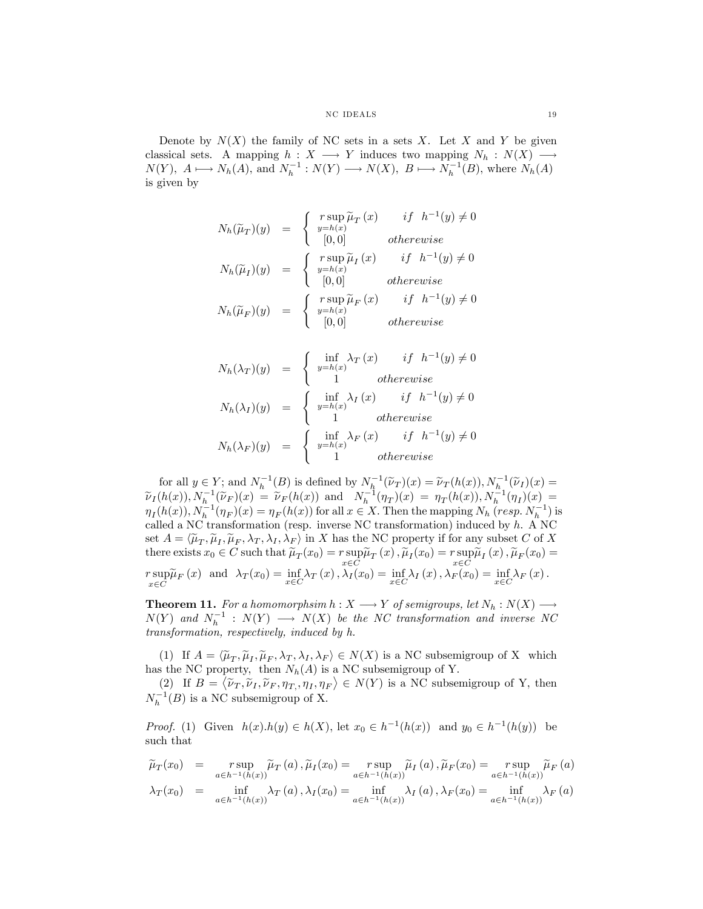Denote by  $N(X)$  the family of NC sets in a sets X. Let X and Y be given classical sets. A mapping  $h : X \longrightarrow Y$  induces two mapping  $N_h : N(X) \longrightarrow$  $N(Y)$ ,  $A \longmapsto N_h(A)$ , and  $N_h^{-1}: N(Y) \longrightarrow N(X)$ ,  $B \longmapsto N_h^{-1}(B)$ , where  $N_h(A)$ is given by

$$
N_h(\widetilde{\mu}_T)(y) = \begin{cases} r \sup_{y=h(x)} \widetilde{\mu}_T(x) & if \ h^{-1}(y) \neq 0 \\ [0,0] & otherwise \end{cases}
$$
  
\n
$$
N_h(\widetilde{\mu}_I)(y) = \begin{cases} r \sup_{y=h(x)} \widetilde{\mu}_I(x) & if \ h^{-1}(y) \neq 0 \\ [0,0] & otherwise \end{cases}
$$
  
\n
$$
N_h(\widetilde{\mu}_F)(y) = \begin{cases} r \sup_{y=h(x)} \widetilde{\mu}_F(x) & if \ h^{-1}(y) \neq 0 \\ [0,0] & otherwise \end{cases}
$$

$$
N_h(\lambda_T)(y) = \begin{cases} \inf_{y=h(x)} \lambda_T(x) & \text{if } h^{-1}(y) \neq 0 \\ 1 & \text{otherwise} \end{cases}
$$
  

$$
N_h(\lambda_I)(y) = \begin{cases} \inf_{y=h(x)} \lambda_I(x) & \text{if } h^{-1}(y) \neq 0 \\ 1 & \text{otherwise} \end{cases}
$$
  

$$
N_h(\lambda_F)(y) = \begin{cases} \inf_{y=h(x)} \lambda_F(x) & \text{if } h^{-1}(y) \neq 0 \\ 1 & \text{otherwise} \end{cases}
$$

for all  $y \in Y$ ; and  $N_h^{-1}(B)$  is defined by  $N_h^{-1}(\tilde{\nu}_T)(x) = \tilde{\nu}_T(h(x)), N_h^{-1}(\tilde{\nu}_T)(x) =$  $\widetilde{\nu}_I(h(x)), N_h^{-1}(\widetilde{\nu}_F)(x) = \widetilde{\nu}_F(h(x))$  and  $N_h^{-1}(\eta_T)(x) = \eta_T(h(x)), N_h^{-1}(\eta_I)(x) =$  $\eta_I(h(x)), N_h^{-1}(\eta_F)(x) = \eta_F(h(x))$  for all  $x \in X$ . Then the mapping  $N_h$  (resp.  $N_h^{-1}$ ) is called a NC transformation (resp. inverse NC transformation) induced by h. A NC set  $A = \langle \tilde{\mu}_T, \tilde{\mu}_I, \tilde{\mu}_F, \lambda_T, \lambda_I, \lambda_F \rangle$  in X has the NC property if for any subset C of X set  $A = \langle \widetilde{\mu}_T, \widetilde{\mu}_I, \widetilde{\mu}_F, \lambda_T, \lambda_I, \lambda_F \rangle$  in X has the NC property if for any subset C of X there exists  $x_0 \in C$  such that  $\widetilde{\mu}_T(x_0) = r \sup_{x \in C}$  $\lim_{x \in C} \widetilde{\mu}_T(x), \widetilde{\mu}_I(x_0) = r \sup_{x \in C}$  $\lim_{x \in C} \widetilde{\mu}_I(x)$  ,  $\widetilde{\mu}_F(x_0) =$ r sup  $\lim_{x \in C} \widetilde{\mu}_F(x)$  and  $\lambda_T(x_0) = \inf_{x \in C} \lambda_T(x), \lambda_I(x_0) = \inf_{x \in C} \lambda_I(x), \lambda_F(x_0) = \inf_{x \in C} \lambda_F(x)$ .

**Theorem 11.** For a homomorphsim  $h: X \longrightarrow Y$  of semigroups, let  $N_h: N(X) \longrightarrow$  $N(Y)$  and  $N_h^{-1}$  :  $N(Y) \longrightarrow N(X)$  be the NC transformation and inverse NC transformation, respectively, induced by h.

(1) If  $A = \langle \tilde{\mu}_T, \tilde{\mu}_I, \tilde{\mu}_F, \lambda_T, \lambda_I, \lambda_F \rangle \in N(X)$  is a NC subsemigroup of X which has the NC property, then  $N_h(A)$  is a NC subsemigroup of Y.

(2) If  $B = \langle \tilde{\nu}_T, \tilde{\nu}_I, \tilde{\nu}_F, \eta_T, \eta_I, \eta_F \rangle \in N(Y)$  is a NC subsemigroup of Y, then  $N_h^{-1}(B)$  is a NC subsemigroup of X.

*Proof.* (1) Given  $h(x) \cdot h(y) \in h(X)$ , let  $x_0 \in h^{-1}(h(x))$  and  $y_0 \in h^{-1}(h(y))$  be such that

$$
\widetilde{\mu}_T(x_0) = r \sup_{a \in h^{-1}(h(x))} \widetilde{\mu}_T(a), \widetilde{\mu}_I(x_0) = r \sup_{a \in h^{-1}(h(x))} \widetilde{\mu}_I(a), \widetilde{\mu}_F(x_0) = r \sup_{a \in h^{-1}(h(x))} \widetilde{\mu}_F(a)
$$

$$
\lambda_T(x_0) = \inf_{a \in h^{-1}(h(x))} \lambda_T(a), \lambda_I(x_0) = \inf_{a \in h^{-1}(h(x))} \lambda_I(a), \lambda_F(x_0) = \inf_{a \in h^{-1}(h(x))} \lambda_F(a)
$$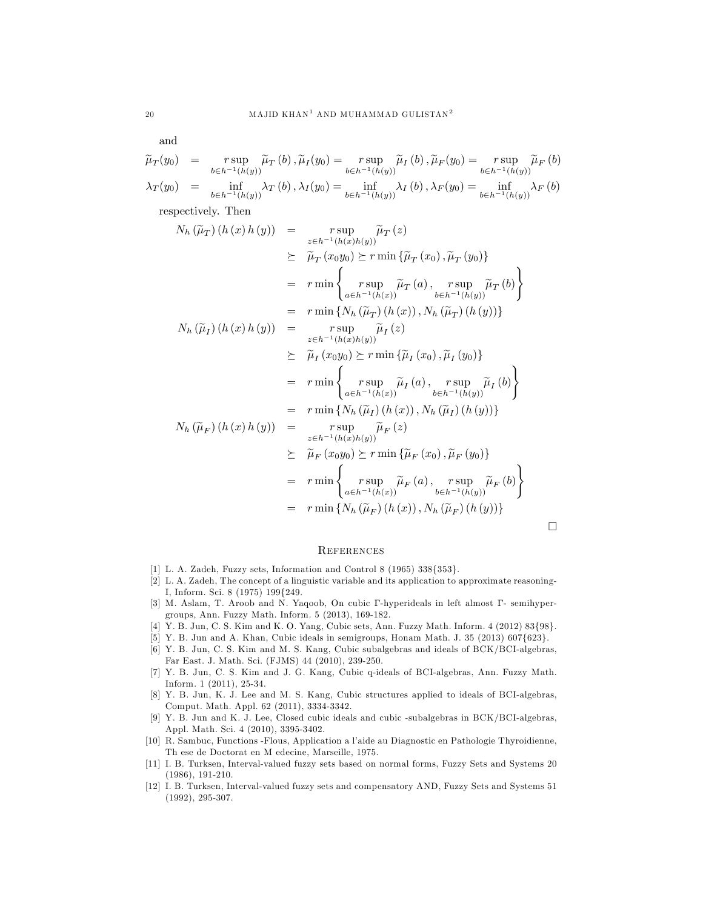and

$$
\widetilde{\mu}_{T}(y_{0}) = \underset{b \in h^{-1}(h(y))}{r \sup} \widetilde{\mu}_{T}(b), \widetilde{\mu}_{I}(y_{0}) = \underset{b \in h^{-1}(h(y))}{r \sup} \widetilde{\mu}_{I}(b), \widetilde{\mu}_{F}(y_{0}) = \underset{b \in h^{-1}(h(y))}{r \sup} \widetilde{\mu}_{F}(b)
$$
\n
$$
\lambda_{T}(y_{0}) = \underset{b \in h^{-1}(h(y))}{\inf} \lambda_{T}(b), \lambda_{I}(y_{0}) = \underset{b \in h^{-1}(h(y))}{\inf} \lambda_{I}(b), \lambda_{F}(y_{0}) = \underset{b \in h^{-1}(h(y))}{\inf} \lambda_{F}(b)
$$

respectively. Then

$$
N_h(\widetilde{\mu}_T)(h(x)h(y)) = \underset{z \in h^{-1}(h(x)h(y))}{\operatorname{exp}} \widetilde{\mu}_T(z)
$$
  
\n
$$
\geq \widetilde{\mu}_T(x_0y_0) \geq r \min \{\widetilde{\mu}_T(x_0), \widetilde{\mu}_T(y_0)\}
$$
  
\n
$$
= r \min \left\{\underset{a \in h^{-1}(h(x))}{\operatorname{exp}} \widetilde{\mu}_T(a), \underset{b \in h^{-1}(h(y))}{\operatorname{exp}} \widetilde{\mu}_T(b) \right\}
$$
  
\n
$$
= r \min \{N_h(\widetilde{\mu}_T)(h(x)), N_h(\widetilde{\mu}_T)(h(y))\}
$$
  
\n
$$
= r \sup_{z \in h^{-1}(h(x)h(y))} \widetilde{\mu}_I(z)
$$
  
\n
$$
\geq \widetilde{\mu}_I(x_0y_0) \geq r \min \{\widetilde{\mu}_I(x_0), \widetilde{\mu}_I(y_0)\}
$$
  
\n
$$
= r \min \left\{\underset{a \in h^{-1}(h(x))}{\operatorname{exp}} \widetilde{\mu}_I(a), \underset{b \in h^{-1}(h(y))}{\operatorname{exp}} \widetilde{\mu}_I(b) \right\}
$$
  
\n
$$
= r \min \{N_h(\widetilde{\mu}_I)(h(x)), N_h(\widetilde{\mu}_I)(h(y))\}
$$
  
\n
$$
= r \min \{N_h(\widetilde{\mu}_I)(h(x)), N_h(\widetilde{\mu}_I)(h(y))\}
$$
  
\n
$$
\geq \widetilde{\mu}_F(x_0y_0) \geq r \min \{\widetilde{\mu}_F(x_0), \widetilde{\mu}_F(y_0)\}
$$
  
\n
$$
= r \min \left\{\underset{a \in h^{-1}(h(x))}{\operatorname{exp}} \widetilde{\mu}_F(a), \underset{b \in h^{-1}(h(y))}{\operatorname{exp}} \widetilde{\mu}_F(b) \right\}
$$
  
\n
$$
= r \min \{N_h(\widetilde{\mu}_F)(h(x)), N_h(\widetilde{\mu}_F)(b) \}
$$

 $\Box$ 

# **REFERENCES**

- [1] L. A. Zadeh, Fuzzy sets, Information and Control 8 (1965) 338{353}.
- [2] L. A. Zadeh, The concept of a linguistic variable and its application to approximate reasoning-I, Inform. Sci. 8 (1975) 199{249.
- [3] M. Aslam, T. Aroob and N. Yaqoob, On cubic  $\Gamma$ -hyperideals in left almost  $\Gamma$  semihypergroups, Ann. Fuzzy Math. Inform. 5 (2013), 169-182.
- [4] Y. B. Jun, C. S. Kim and K. O. Yang, Cubic sets, Ann. Fuzzy Math. Inform. 4 (2012) 83{98}.
- [5] Y. B. Jun and A. Khan, Cubic ideals in semigroups, Honam Math. J. 35 (2013) 607{623}. [6] Y. B. Jun, C. S. Kim and M. S. Kang, Cubic subalgebras and ideals of BCK/BCI-algebras,
- Far East. J. Math. Sci. (FJMS) 44 (2010), 239-250.
- [7] Y. B. Jun, C. S. Kim and J. G. Kang, Cubic q-ideals of BCI-algebras, Ann. Fuzzy Math. Inform. 1 (2011), 25-34.
- [8] Y. B. Jun, K. J. Lee and M. S. Kang, Cubic structures applied to ideals of BCI-algebras, Comput. Math. Appl. 62 (2011), 3334-3342.
- [9] Y. B. Jun and K. J. Lee, Closed cubic ideals and cubic -subalgebras in BCK/BCI-algebras, Appl. Math. Sci. 4 (2010), 3395-3402.
- [10] R. Sambuc, Functions -Flous, Application a líaide au Diagnostic en Pathologie Thyroidienne, Th ese de Doctorat en M edecine, Marseille, 1975.
- [11] I. B. Turksen, Interval-valued fuzzy sets based on normal forms, Fuzzy Sets and Systems 20 (1986), 191-210.
- [12] I. B. Turksen, Interval-valued fuzzy sets and compensatory AND, Fuzzy Sets and Systems 51 (1992), 295-307.